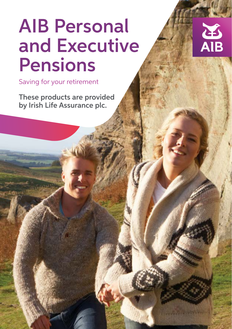## AIB Personal and Executive Pensions



These products are provided by Irish Life Assurance plc.

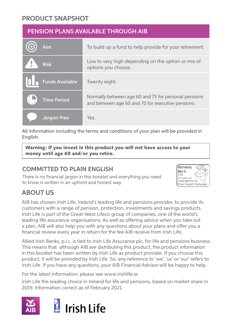#### PRODUCT SNAPSHOT

#### PENSION PLANS AVAILABLE THROUGH AIB

| Aim                    | To build up a fund to help provide for your retirement.                                                   |
|------------------------|-----------------------------------------------------------------------------------------------------------|
| Ţ<br><b>Risk</b>       | Low to very high depending on the option or mix of<br>options you choose.                                 |
| <b>Funds Available</b> | Twenty eight.                                                                                             |
| <b>Time Period</b>     | Normally between age 60 and 75 for personal pensions<br>and between age 60 and 70 for executive pensions. |
| Jargon-free            | Yes.                                                                                                      |

All information including the terms and conditions of your plan will be provided in English.

**Warning: If you invest in this product you will not have access to your money until age 60 and/or you retire.**

#### COMMITTED TO PLAIN ENGLISH

There is no financial jargon in this booklet and everything you need to know is written in an upfront and honest way.



### ABOUT US

AIB has chosen Irish Life, Ireland's leading life and pensions provider, to provide its customers with a range of pension, protection, investments and savings products. Irish Life is part of the Great-West Lifeco group of companies, one of the world's leading life assurance organisations. As well as offering advice when you take out a plan, AIB will also help you with any questions about your plans and offer you a financial review every year in return for the fee AIB receive from Irish Life.

Allied Irish Banks, p.l.c. is tied to Irish Life Assurance plc, for life and pensions business. This means that although AIB are distributing this product, the product information in this booklet has been written by Irish Life as product provider. If you choose this product, it will be provided by Irish Life. So, any reference to 'we', 'us' or 'our' refers to Irish Life. If you have any questions, your AIB Financial Advisor will be happy to help.

For the latest information, please see www.irishlife.ie

Irish Life the leading choice in Ireland for life and pensions, based on market share in 2019. Information correct as of February 2021.

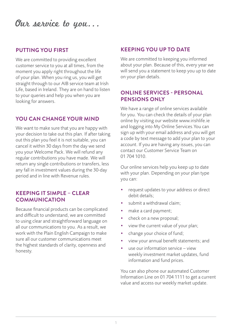## Our service to you...

#### **PUTTING YOU FIRST**

We are committed to providing excellent customer service to you at all times, from the moment you apply right throughout the life of your plan. When you ring us, you will get straight through to our AIB service team at Irish Life, based in Ireland. They are on hand to listen to your queries and help you when you are looking for answers.

#### **YOU CAN CHANGE YOUR MIND**

We want to make sure that you are happy with your decision to take out this plan. If after taking out this plan you feel it is not suitable, you can cancel it within 30 days from the day we send you your Welcome Pack. We will refund any regular contributions you have made. We will return any single contributions or transfers, less any fall in investment values during the 30-day period and in line with Revenue rules.

#### **KEEPING IT SIMPLE – CLEAR COMMUNICATION**

Because financial products can be complicated and difficult to understand, we are committed to using clear and straightforward language on all our communications to you. As a result, we work with the Plain English Campaign to make sure all our customer communications meet the highest standards of clarity, openness and honesty.

#### **KEEPING YOU UP TO DATE**

We are committed to keeping you informed about your plan. Because of this, every year we will send you a statement to keep you up to date on your plan details.

#### **ONLINE SERVICES - PERSONAL PENSIONS ONLY**

We have a range of online services available for you. You can check the details of your plan online by visiting our website www.irishlife.ie and logging into My Online Services.You can sign up with your email address and you will get a code by text message to add your plan to your account. If you are having any issues, you can contact our Customer Service Team on 01 704 1010.

Our online services help you keep up to date with your plan. Depending on your plan type you can:

- request updates to your address or direct debit details;
- submit a withdrawal claim;
- make a card payment;
- check on a new proposal;
- view the current value of your plan;
- change your choice of fund;
- view your annual benefit statements; and
- use our information service view weekly investment market updates, fund information and fund prices.

You can also phone our automated Customer Information Line on 01 704 1111 to get a current value and access our weekly market update.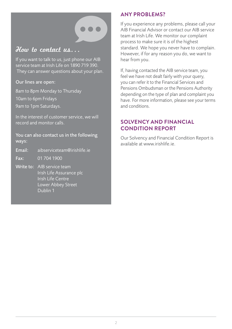#### How to contact us...

If you want to talk to us, just phone our AIB service team at Irish Life on 1890 719 390. They can answer questions about your plan.

Our lines are open:

8am to 8pm Monday to Thursday 10am to 6pm Fridays 9am to 1pm Saturdays.

In the interest of customer service, we will record and monitor calls.

You can also contact us in the following ways:

- Email: aibserviceteam@irishlife.ie
- Fax: 01 704 1900
- Write to: AIB service team Irish Life Assurance plc Irish Life Centre Lower Abbey Street Dublin 1

#### **ANY PROBLEMS?**

If you experience any problems, please call your AIB Financial Advisor or contact our AIB service team at Irish Life. We monitor our complaint process to make sure it is of the highest standard. We hope you never have to complain. However, if for any reason you do, we want to hear from you.

If, having contacted the AIB service team, you feel we have not dealt fairly with your query, you can refer it to the Financial Services and Pensions Ombudsman or the Pensions Authority depending on the type of plan and complaint you have. For more information, please see your terms and conditions.

#### **SOLVENCY AND FINANCIAL CONDITION REPORT**

Our Solvency and Financial Condition Report is available at www.irishlife.ie.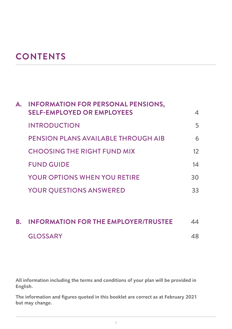## **CONTENTS**

| А. | <b>INFORMATION FOR PERSONAL PENSIONS,</b><br><b>SELF-EMPLOYED OR EMPLOYEES</b> | 4       |
|----|--------------------------------------------------------------------------------|---------|
|    | <b>INTRODUCTION</b>                                                            | 5       |
|    | PENSION PLANS AVAILABLE THROUGH AIB                                            | 6       |
|    | <b>CHOOSING THE RIGHT FUND MIX</b>                                             | $12 \,$ |
|    | <b>FUND GUIDE</b>                                                              | 14      |
|    | <b>YOUR OPTIONS WHEN YOU RETIRE</b>                                            | 30      |
|    | <b>YOUR QUESTIONS ANSWERED</b>                                                 | 33      |
|    |                                                                                |         |

## **B. INFORMATION FOR THE EMPLOYER/TRUSTEE** 44 GLOSSARY 48

All information including the terms and conditions of your plan will be provided in English.

The information and figures quoted in this booklet are correct as at February 2021 but may change.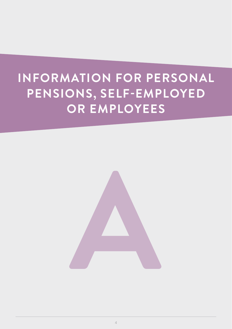## **INFORMATION FOR PERSONAL PENSIONS, SELF-EMPLOYED OR EMPLOYEES**

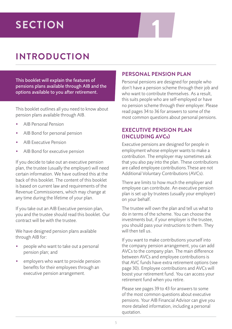# **1 SECTION**

## **INTRODUCTION**

This booklet will explain the features of pensions plans available through AIB and the options available to you after retirement.

This booklet outlines all you need to know about pension plans available through AIB.

- AIB Personal Pension
- AIB Bond for personal pension
- AIB Executive Pension
- AIB Bond for executive pension

If you decide to take out an executive pension plan, the trustee (usually the employer) will need certain information. We have outlined this at the back of this booklet. The content of this booklet is based on current law and requirements of the Revenue Commissioners, which may change at any time during the lifetime of your plan.

If you take out an AIB Executive pension plan, you and the trustee should read this booklet. Our contract will be with the trustee.

We have designed pension plans available through AIB for:

- people who want to take out a personal pension plan; and
- employers who want to provide pension benefits for their employees through an executive pension arrangement.

#### **PERSONAL PENSION PLAN**

Personal pensions are designed for people who don't have a pension scheme through their job and who want to contribute themselves. As a result, this suits people who are self-employed or have no pension scheme through their employer. Please read pages 34 to 36 for answers to some of the most common questions about personal pensions.

#### **EXECUTIVE PENSION PLAN (INCLUDING AVCs)**

Executive pensions are designed for people in employment whose employer wants to make a contribution. The employer may sometimes ask that you also pay into the plan. These contributions are called employee contributions.These are not Additional Voluntary Contributions (AVCs).

There are limits to how much the employer and employee can contribute. An executive pension plan is set up by trustees (usually your employer) on your behalf.

The trustee will own the plan and tell us what to do in terms of the scheme. You can choose the investments but, if your employer is the trustee, you should pass your instructions to them. They will then tell us.

If you want to make contributions yourself into the company pension arrangement, you can add AVCs to the company plan. The main difference between AVCs and employee contributions is that AVC funds have extra retirement options (see page 30). Employee contributions and AVCs will boost your retirement fund. You can access your retirement fund when you retire.

Please see pages 39 to 43 for answers to some of the most common questions about executive pensions. Your AIB Financial Advisor can give you more detailed information, including a personal quotation.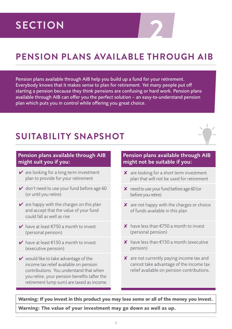# **2 SECTION**

## **PENSION PLANS AVAILABLE THROUGH AIB**

Pension plans available through AIB help you build up a fund for your retirement. Everybody knows that it makes sense to plan for retirement. Yet many people put off starting a pension because they think pensions are confusing or hard work. Pension plans available through AIB can offer you the perfect solution – an easy-to-understand pension plan which puts you in control while offering you great choice.

## **SUITABILITY SNAPSHOT**



#### Pension plans available through AIB might suit you if you:

- $\vee$  are looking for a long term investment plan to provide for your retirement
- $\vee$  don't need to use your fund before age 60 (or until you retire)
- $\vee$  are happy with the charges on this plan and accept that the value of your fund could fall as well as rise
- $\blacktriangleright$  have at least  $\epsilon$ 750 a month to invest (personal pension)
- $\vee$  have at least €150 a month to invest (executive pension)
- $\vee$  would like to take advantage of the income tax relief available on pension contributions. You understand that when you retire, your pension benefits (after the retirement lump sum) are taxed as income.

#### Pension plans available through AIB might not be suitable if you:

- $\boldsymbol{\mathsf{X}}$  are looking for a short term investment plan that will not be used for retirement
- $\boldsymbol{\times}$  need to use your fund before age 60 (or before you retire)
- $\boldsymbol{\mathsf{X}}$  are not happy with the charges or choice of funds available in this plan
- $\boldsymbol{\mathsf{X}}$  have less than  $\epsilon$ 750 a month to invest (personal pension)
- $\boldsymbol{\mathsf{X}}$  have less than €150 a month (executive pension)
- $\boldsymbol{\mathsf{X}}$  are not currently paying income tax and cannot take advantage of the income tax relief available on pension contributions.

**Warning: If you invest in this product you may lose some or all of the money you invest.**

**Warning: The value of your investment may go down as well as up.**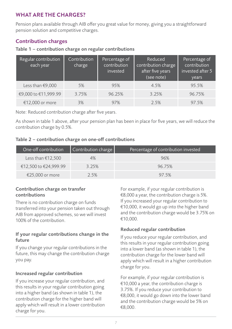#### **WHAT ARE THE CHARGES?**

Pension plans available through AIB offer you great value for money, giving you a straightforward pension solution and competitive charges.

#### Contribution charges

#### Table 1 – contribution charge on regular contributions

| Regular contribution<br>each year | Contribution<br>charge | Percentage of<br>contribution<br>invested | Reduced<br>contribution charge<br>after five years<br>(see note) | Percentage of<br>contribution<br>invested after 5<br>years |
|-----------------------------------|------------------------|-------------------------------------------|------------------------------------------------------------------|------------------------------------------------------------|
| Less than $£9,000$                | 5%                     | 95%                                       | 4.5%                                                             | 95.5%                                                      |
| €9,000 to €11,999.99              | 3.75%                  | 96.25%                                    | 3.25%                                                            | 96.75%                                                     |
| €12.000 or more                   | 3%                     | 97%                                       | 2.5%                                                             | 97.5%                                                      |

Note: Reduced contribution charge after five years.

As shown in table 1 above, after your pension plan has been in place for five years, we will reduce the contribution charge by 0.5%.

#### Table 2 – contribution charge on one-off contributions

| One-off contribution  | Contribution charge $ $ | Percentage of contribution invested |
|-----------------------|-------------------------|-------------------------------------|
| Less than €12,500     | 4%                      | 96%                                 |
| €12,500 to €24,999.99 | 3.25%                   | 96.75%                              |
| €25,000 or more       | 2.5%                    | 97 5%                               |

#### Contribution charge on transfer contributions

There is no contribution charge on funds transferred into your pension taken out through AIB from approved schemes, so we will invest 100% of the contribution.

#### If your regular contributions change in the future

If you change your regular contributions in the future, this may change the contribution charge you pay.

#### Increased regular contribution

If you increase your regular contribution, and this results in your regular contribution going into a higher band (as shown in table 1), the contribution charge for the higher band will apply which will result in a lower contribution charge for you.

For example, if your regular contribution is €8,000 a year, the contribution charge is 5%. If you increased your regular contribution to €10,000, it would go up into the higher band and the contribution charge would be 3.75% on €10,000.

#### Reduced regular contribution

If you reduce your regular contribution, and this results in your regular contribution going into a lower band (as shown in table 1), the contribution charge for the lower band will apply which will result in a higher contribution charge for you.

For example, if your regular contribution is €10,000 a year, the contribution charge is 3.75%. If you reduce your contribution to €8,000, it would go down into the lower band and the contribution charge would be 5% on €8,000.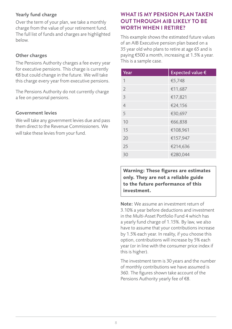#### Yearly fund charge

Over the term of your plan, we take a monthly charge from the value of your retirement fund. The full list of funds and charges are highlighted below.

#### Other charges

The Pensions Authority charges a fee every year for executive pensions. This charge is currently €8 but could change in the future. We will take this charge every year from executive pensions.

The Pensions Authority do not currently charge a fee on personal pensions.

#### Government levies

We will take any government levies due and pass them direct to the Revenue Commissioners. We will take these levies from your fund.

#### **WHAT IS MY PENSION PLAN TAKEN OUT THROUGH AIB LIKELY TO BE WORTH WHEN I RETIRE?**

This example shows the estimated future values of an AIB Executive pension plan based on a 35 year old who plans to retire at age 65 and is paying €500 a month, increasing at 1.5% a year. This is a sample case.

| Year           | Expected value € |
|----------------|------------------|
| 1              | €5,748           |
| $\overline{2}$ | €11,687          |
| 3              | €17,821          |
| $\overline{4}$ | €24,156          |
| 5              | €30,697          |
| 10             | €66,838          |
| 15             | €108,961         |
| 20             | €157,947         |
| 25             | €214,636         |
| 30             | €280.044         |

**Warning: These figures are estimates only. They are not a reliable guide to the future performance of this investment.**

Note: We assume an investment return of 3.10% a year before deductions and investment in the Multi-Asset Portfolio Fund 4 which has a yearly fund charge of 1.15%. By law, we also have to assume that your contributions increase by 1.5% each year. In reality, if you choose this option, contributions will increase by 5% each year (or in line with the consumer price index if this is higher).

The investment term is 30 years and the number of monthly contributions we have assumed is 360. The figures shown take account of the Pensions Authority yearly fee of €8.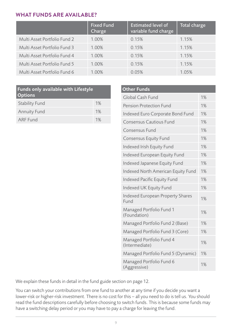#### **WHAT FUNDS ARE AVAILABLE?**

|                              | <b>Fixed Fund</b><br>Charge | <b>Estimated level of</b><br>variable fund charge | Total charge |
|------------------------------|-----------------------------|---------------------------------------------------|--------------|
| Multi Asset Portfolio Fund 2 | 1.00%                       | 0.15%                                             | 1.15%        |
| Multi Asset Portfolio Fund 3 | 1.00%                       | 0.15%                                             | 1.15%        |
| Multi Asset Portfolio Fund 4 | 1.00%                       | 0.15%                                             | 1.15%        |
| Multi Asset Portfolio Fund 5 | 1.00%                       | 0.15%                                             | 1.15%        |
| Multi Asset Portfolio Fund 6 | 1.00%                       | 0.05%                                             | 1.05%        |

| <b>Funds only available with Lifestyle</b><br><b>Options</b> |    |  |
|--------------------------------------------------------------|----|--|
| <b>Stability Fund</b>                                        | 1% |  |
| <b>Annuity Fund</b>                                          | 1% |  |
| <b>ARF</b> Fund                                              | 1% |  |

| <b>Other Funds</b>                              |    |
|-------------------------------------------------|----|
| Global Cash Fund                                | 1% |
| Pension Protection Fund                         | 1% |
| Indexed Euro Corporate Bond Fund                | 1% |
| Consensus Cautious Fund                         | 1% |
| Consensus Fund                                  | 1% |
| <b>Consensus Equity Fund</b>                    | 1% |
| Indexed Irish Equity Fund                       | 1% |
| Indexed European Equity Fund                    | 1% |
| Indexed Japanese Equity Fund                    | 1% |
| Indexed North American Equity Fund              | 1% |
| Indexed Pacific Equity Fund                     | 1% |
| Indexed UK Equity Fund                          | 1% |
| <b>Indexed European Property Shares</b><br>Fund | 1% |
| Managed Portfolio Fund 1<br>(Foundation)        | 1% |
| Managed Portfolio Fund 2 (Base)                 | 1% |
| Managed Portfolio Fund 3 (Core)                 | 1% |
| Managed Portfolio Fund 4<br>(Intermediate)      | 1% |
| Managed Portfolio Fund 5 (Dynamic)              | 1% |
| Managed Portfolio Fund 6<br>(Aggressive)        | 1% |

We explain these funds in detail in the fund guide section on page 12.

You can switch your contributions from one fund to another at any time if you decide you want a lower-risk or higher-risk investment. There is no cost for this – all you need to do is tell us. You should read the fund descriptions carefully before choosing to switch funds. This is because some funds may have a switching delay period or you may have to pay a charge for leaving the fund.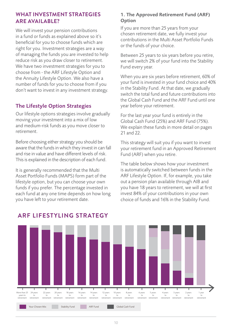#### **WHAT INVESTMENT STRATEGIES ARE AVAILABLE?**

We will invest your pension contributions in a fund or funds as explained above so it's beneficial for you to choose funds which are right for you. Investment strategies are a way of managing the funds you are invested to help reduce risk as you draw closer to retirement. We have two investment strategies for you to choose from - the ARF Lifestyle Option and the Annuity Lifestyle Option. We also have a number of funds for you to choose from if you don't want to invest in any investment strategy.

#### The Lifestyle Option Strategies

Our lifestyle options strategies involve gradually moving your investment into a mix of low and medium-risk funds as you move closer to retirement.

Before choosing either strategy you should be aware that the funds in which they invest in can fall and rise in value and have different levels of risk. This is explained in the description of each fund.

It is generally recommended that the Multi Asset Portfolio Funds (MAPS) form part of the lifestyle option, but you can choose your own funds if you prefer. The percentage invested in each fund at any one time depends on how long you have left to your retirement date.

#### 1. The Approved Retirement Fund (ARF) **Option**

If you are more than 25 years from your chosen retirement date, we fully invest your contributions in the Multi Asset Portfolio Funds or the funds of your choice.

Between 25 years to six years before you retire, we will switch 2% of your fund into the Stability Fund every year.

When you are six years before retirement, 60% of your fund is invested in your fund choice and 40% in the Stability Fund. At that date, we gradually switch the total fund and future contributions into the Global Cash Fund and the ARF Fund until one year before your retirement.

For the last year your fund is entirely in the Global Cash Fund (25%) and ARF Fund (75%). We explain these funds in more detail on pages 21 and 22.

This strategy will suit you if you want to invest your retirement fund in an Approved Retirement Fund (ARF) when you retire.

The table below shows how your investment is automatically switched between funds in the ARF Lifestyle Option. If, for example, you take out a pension plan available through AIB and you have 18 years to retirement, we will at first invest 84% of your contributions in your own choice of funds and 16% in the Stability Fund.



#### **ARF LIFESTYLING STRATEGY**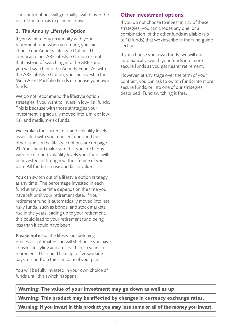The contributions will gradually switch over the rest of the term as explained above.

#### 2. The Annuity Lifestyle Option

If you want to buy an annuity with your retirement fund when you retire, you can choose our Annuity Lifestyle Option. This is identical to our ARF Lifestyle Option except that instead of switching into the ARF Fund, you will switch into the Annuity Fund. As with the ARF Lifestyle Option, you can invest in the Multi Asset Portfolio Funds or choose your own funds.

We do not recommend the lifestyle option strategies if you want to invest in low-risk funds. This is because with those strategies your investment is gradually moved into a mix of lowrisk and medium-risk funds.

We explain the current risk and volatility levels associated with your chosen funds and the other funds in the lifestyle options are on page 21. You should make sure that you are happy with the risk and volatility levels your funds will be invested in throughout the lifetime of your plan. All funds can rise and fall in value.

You can switch out of a lifestyle option strategy at any time. The percentage invested in each fund at any one time depends on the time you have left until your retirement date. If your retirement fund is automatically moved into less risky funds, such as bonds, and stock markets rise in the years leading up to your retirement, this could lead to your retirement fund being less than it could have been.

Please note that the lifestyling switching process is automated and will start once you have chosen lifestyling and are less than 25 years to retirement. This could take up to five working days to start from the start date of your plan.

You will be fully invested in your own choice of funds until this switch happens.

#### Other investment options

If you do not choose to invest in any of these strategies, you can choose any one, or a combination, of the other funds available (up to 10 funds) that we describe in the fund guide section.

If you choose your own funds, we will not automatically switch your funds into more secure funds as you get nearer retirement.

However, at any stage over the term of your contract, you can ask to switch funds into more secure funds, or into one of our strategies described. Fund switching is free.

**Warning: The value of your investment may go down as well as up.**

**Warning: This product may be affected by changes in currency exchange rates.**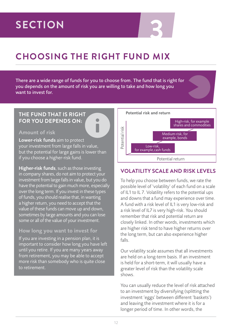## **3 SECTION**

## **CHOOSING THE RIGHT FUND MIX**

There are a wide range of funds for you to choose from. The fund that is right for you depends on the amount of risk you are willing to take and how long you want to invest for.

#### **THE FUND THAT IS RIGHT FOR YOU DEPENDS ON:**

#### Amount of risk

Lower-risk funds aim to protect your investment from large falls in value, but the potential for large gains is lower than if you choose a higher-risk fund.

Higher-risk funds, such as those investing in company shares, do not aim to protect your investment from large falls in value, but you do have the potential to gain much more, especially over the long term. If you invest in these types of funds, you should realise that, in wanting a higher return, you need to accept that the value of these funds can move up and down, sometimes by large amounts and you can lose some or all of the value of your investment.

#### How long you want to invest for

If you are investing in a pension plan, it is important to consider how long you have left until you retire. If you are many years away from retirement, you may be able to accept more risk than somebody who is quite close to retirement.



#### **VOLATILITY SCALE AND RISK LEVELS**

To help you choose between funds, we rate the possible level of 'volatility' of each fund on a scale of IL1 to IL 7. Volatility refers to the potential ups and downs that a fund may experience over time. A fund with a risk level of IL1 is very low-risk and a risk level of IL7 is very high-risk. You should remember that risk and potential return are closely linked. In other words, investments which are higher risk tend to have higher returns over the long term, but can also experience higher falls.

Our volatility scale assumes that all investments are held on a long-term basis. If an investment is held for a short-term, it will usually have a greater level of risk than the volatility scale shows.

You can usually reduce the level of risk attached to an investment by diversifying (splitting the investment 'eggs' between different 'baskets') and leaving the investment where it is for a longer period of time. In other words, the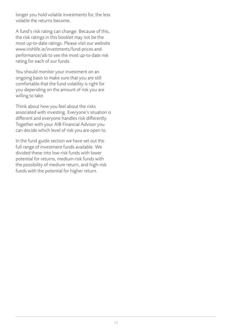longer you hold volatile investments for, the less volatile the returns become.

A fund's risk rating can change. Because of this, the risk ratings in this booklet may not be the most up-to-date ratings. Please visit our website www.irishlife.ie/investments/fund-prices-andperformance/aib to see the most up-to-date risk rating for each of our funds.

You should monitor your investment on an ongoing basis to make sure that you are still comfortable that the fund volatility is right for you depending on the amount of risk you are willing to take.

Think about how you feel about the risks associated with investing. Everyone's situation is different and everyone handles risk differently. Together with your AIB Financial Advisor you can decide which level of risk you are open to.

In the fund guide section we have set out the full range of investment funds available. We divided these into low-risk funds with lower potential for returns, medium-risk funds with the possibility of medium return, and high-risk funds with the potential for higher return.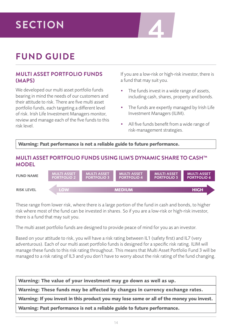# **4 SECTION**

## **FUND GUIDE**

#### **MULTI ASSET PORTFOLIO FUNDS (MAPS)**

We developed our multi asset portfolio funds bearing in mind the needs of our customers and their attitude to risk. There are five multi asset portfolio funds, each targeting a different level of risk. Irish Life Investment Managers monitor, review and manage each of the five funds to this risk level.

If you are a low-risk or high-risk investor, there is a fund that may suit you.

- The funds invest in a wide range of assets, including cash, shares, property and bonds.
- The funds are expertly managed by Irish Life Investment Managers (ILIM).
- All five funds benefit from a wide range of risk-management strategies.

**Warning: Past performance is not a reliable guide to future performance.**

#### **MULTI ASSET PORTFOLIO FUNDS USING ILIM'S DYNAMIC SHARE TO CASH™ MODEL**

MULTI ASSET PORTFOLIO 2 PORTFOLIO 6 FUND NAME MULTI ASSET PORTFOLIO 3 MULTI ASSET PORTFOLIO 4 MULTI ASSET PORTFOLIO 5 MULTI ASSET<br>PORTFOLIO 6 RISK LEVEL **LOW MEDIUM HIGH**

These range from lower risk, where there is a large portion of the fund in cash and bonds, to higher risk where most of the fund can be invested in shares. So if you are a low-risk or high-risk investor, there is a fund that may suit you.

The multi asset portfolio funds are designed to provide peace of mind for you as an investor.

Based on your attitude to risk, you will have a risk rating between IL1 (safety first) and IL7 (very adventurous). Each of our multi asset portfolio funds is designed for a specific risk rating. ILIM will manage these funds to this risk rating throughout. This means that Multi Asset Portfolio Fund 3 will be managed to a risk rating of IL3 and you don't have to worry about the risk rating of the fund changing.

**Warning: The value of your investment may go down as well as up.**

**Warning: These funds may be affected by changes in currency exchange rates.**

**Warning: If you invest in this product you may lose some or all of the money you invest.**

**Warning: Past performance is not a reliable guide to future performance.**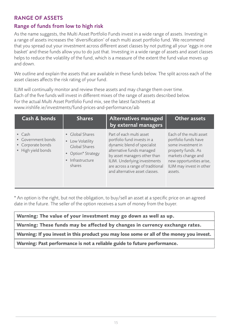#### **RANGE OF ASSETS**

#### Range of funds from low to high risk

As the name suggests, the Multi Asset Portfolio Funds invest in a wide range of assets. Investing in a range of assets increases the 'diversification' of each multi asset portfolio fund. We recommend that you spread out your investment across different asset classes by not putting all your 'eggs in one basket' and these funds allow you to do just that. Investing in a wide range of assets and asset classes helps to reduce the volatility of the fund, which is a measure of the extent the fund value moves up and down.

We outline and explain the assets that are available in these funds below. The split across each of the asset classes affects the risk rating of your fund.

ILIM will continually monitor and review these assets and may change them over time. Each of the five funds will invest in different mixes of the range of assets described below. For the actual Multi Asset Portfolio Fund mix, see the latest factsheets at www.irishlife.ie/investments/fund-prices-and-performance/aib

| Cash & bonds                                                                    | <b>Shares</b>                                                                                            | Alternatives managed<br>by external managers                                                                                                                                                                                                               | Other assets                                                                                                                                                                         |
|---------------------------------------------------------------------------------|----------------------------------------------------------------------------------------------------------|------------------------------------------------------------------------------------------------------------------------------------------------------------------------------------------------------------------------------------------------------------|--------------------------------------------------------------------------------------------------------------------------------------------------------------------------------------|
| $\bullet$ Cash<br>• Government bonds<br>• Corporate bonds<br>• High yield bonds | • Global Shares<br>• Low Volatility<br>Global Shares<br>• Option* Strategy<br>• Infrastructure<br>shares | Part of each multi asset<br>portfolio fund invests in a<br>dynamic blend of specialist<br>alternative funds managed<br>by asset managers other than<br>ILIM. Underlying investments<br>are across a range of traditional<br>and alternative asset classes. | Each of the multi asset<br>portfolio funds have<br>some investment in<br>property funds. As<br>markets change and<br>new opportunities arise,<br>ILIM may invest in other<br>assets. |

\* An option is the right, but not the obligation, to buy/sell an asset at a specific price on an agreed date in the future. The seller of the option receives a sum of money from the buyer.

**Warning: The value of your investment may go down as well as up.**

**Warning: These funds may be affected by changes in currency exchange rates.**

**Warning: If you invest in this product you may lose some or all of the money you invest.**

**Warning: Past performance is not a reliable guide to future performance.**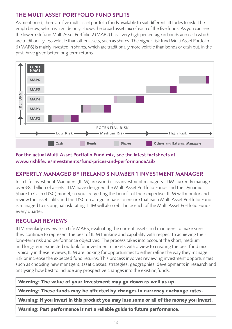#### **THE MULTI ASSET PORTFOLIO FUND SPLITS**

As mentioned, there are five multi asset portfolio funds available to suit different attitudes to risk. The graph below, which is a guide only, shows the broad asset mix of each of the five funds. As you can see the lower-risk fund Multi Asset Portfolio 2 (MAP2) has a very high percentage in bonds and cash which are traditionally less volatile than other assets, such as shares. The higher-risk fund Multi Asset Portfolio 6 (MAP6) is mainly invested in shares, which are traditionally more volatile than bonds or cash but, in the past, have given better long-term returns.



#### For the actual Multi Asset Portfolio Fund mix, see the latest factsheets at www.irishlife.ie/investments/fund-prices-and-performance/aib

#### **EXPERTLY MANAGED BY IRELAND'S NUMBER 1 INVESTMENT MANAGER**

Irish Life Investment Managers (ILIM) are world class investment managers. ILIM currently manage over €81 billion of assets. ILIM have designed the Multi Asset Portfolio Funds and the Dynamic Share to Cash (DSC) model, so you are getting the benefit of their expertise. ILIM will monitor and review the asset splits and the DSC on a regular basis to ensure that each Multi Asset Portfolio Fund is managed to its original risk rating. ILIM will also rebalance each of the Multi Asset Portfolio Funds every quarter.

#### **REGULAR REVIEWS**

ILIM regularly review Irish Life MAPS, evaluating the current assets and managers to make sure they continue to represent the best of ILIM thinking and capability with respect to achieving their long-term risk and performance objectives. The process takes into account the short, medium and long-term expected outlook for investment markets with a view to creating the best fund mix. Typically in these reviews, ILIM are looking for opportunities to either refine the way they manage risk or increase the expected fund returns. This process involves reviewing investment opportunities such as choosing new managers, asset classes, strategies, geographies, developments in research and analysing how best to include any prospective changes into the existing funds.

**Warning: The value of your investment may go down as well as up.**

**Warning: These funds may be affected by changes in currency exchange rates.**

**Warning: If you invest in this product you may lose some or all of the money you invest.**

**Warning: Past performance is not a reliable guide to future performance.**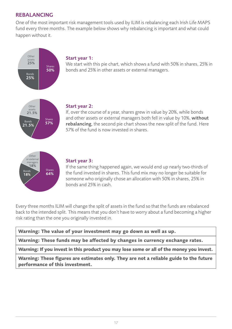#### REBALANCING

One of the most important risk management tools used by ILIM is rebalancing each Irish Life MAPS fund every three months. The example below shows why rebalancing is important and what could happen without it.



Every three months ILIM will change the split of assets in the fund so that the funds are rebalanced back to the intended split. This means that you don't have to worry about a fund becoming a higher risk rating than the one you originally invested in.

**Warning: These funds may be affected by changes in currency exchange rates.**

**Warning: If you invest in this product you may lose some or all of the money you invest.**

**Warning: These figures are estimates only. They are not a reliable guide to the future performance of this investment.**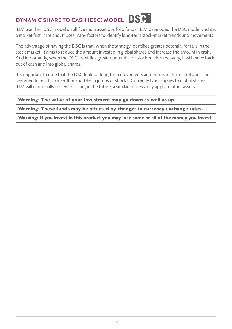## **DYNAMIC SHARE TO CASH (DSC) MODEL DSP**

ILIM use their DSC model on all five multi asset portfolio funds. ILIM developed the DSC model and it is a market first in Ireland. It uses many factors to identify long-term stock-market trends and movements.

The advantage of having the DSC is that, when the strategy identifies greater potential for falls in the stock market, it aims to reduce the amount invested in global shares and increase the amount in cash. And importantly, when the DSC identifies greater potential for stock-market recovery, it will move back out of cash and into global shares.

It is important to note that the DSC looks at long-term movements and trends in the market and is not designed to react to one-off or short-term jumps or shocks. Currently DSC applies to global shares, ILIM will continually review this and, in the future, a similar process may apply to other assets.

**Warning: The value of your investment may go down as well as up.**

**Warning: These funds may be affected by changes in currency exchange rates.**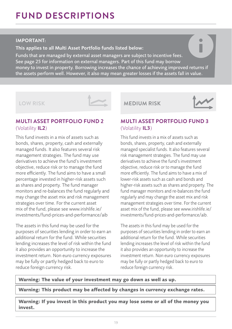## **FUND DESCRIPTIONS**

#### **IMPORTANT:**

This applies to all Multi Asset Portfolio funds listed below:

Funds that are managed by external asset managers are subject to incentive fees. See page 25 for information on external managers. Part of this fund may borrow money to invest in property. Borrowing increases the chance of achieving improved returns if the assets perform well. However, it also may mean greater losses if the assets fall in value.

#### **LOW RISK**



#### **MULTI ASSET PORTFOLIO FUND 2** (Volatility IL2)

This fund invests in a mix of assets such as bonds, shares, property, cash and externally managed funds. It also features several risk management strategies. The fund may use derivatives to achieve the fund's investment objective, reduce risk or to manage the fund more efficiently. The fund aims to have a small percentage invested in higher-risk assets such as shares and property. The fund manager monitors and re-balances the fund regularly and may change the asset mix and risk management strategies over time. For the current asset mix of the fund, please see www.irishlife.ie/ investments/fund-prices-and-performance/aib

The assets in this fund may be used for the purposes of securities lending in order to earn an additional return for the fund. While securities lending increases the level of risk within the fund it also provides an opportunity to increase the investment return. Non euro currency exposures may be fully or partly hedged back to euro to reduce foreign currency risk.

#### **MEDIUM RISK**



#### **MULTI ASSET PORTFOLIO FUND 3** (Volatility IL3)

This fund invests in a mix of assets such as bonds, shares, property, cash and externally managed specialist funds. It also features several risk management strategies. The fund may use derivatives to achieve the fund's investment objective, reduce risk or to manage the fund more efficiently. The fund aims to have a mix of lower-risk assets such as cash and bonds and higher-risk assets such as shares and property. The fund manager monitors and re-balances the fund regularly and may change the asset mix and risk management strategies over time. For the current asset mix of the fund, please see www.irishlife.ie/ investments/fund-prices-and-performance/aib.

The assets in this fund may be used for the purposes of securities lending in order to earn an additional return for the fund. While securities lending increases the level of risk within the fund it also provides an opportunity to increase the investment return. Non euro currency exposures may be fully or partly hedged back to euro to reduce foreign currency risk.

**Warning: The value of your investment may go down as well as up.**

**Warning: This product may be affected by changes in currency exchange rates.**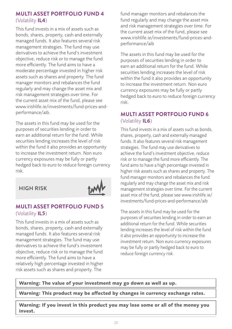#### **MULTI ASSET PORTFOLIO FUND 4** (Volatility IL4)

This fund invests in a mix of assets such as bonds, shares, property, cash and externally managed funds. It also features several risk management strategies. The fund may use derivatives to achieve the fund's investment objective, reduce risk or to manage the fund more efficiently. The fund aims to have a moderate percentage invested in higher risk assets such as shares and property. The fund manager monitors and rebalances the fund regularly and may change the asset mix and risk management strategies over time. For the current asset mix of the fund, please see www.irishlife.ie/investments/fund-prices-andperformance/aib.

The assets in this fund may be used for the purposes of securities lending in order to earn an additional return for the fund. While securities lending increases the level of risk within the fund it also provides an opportunity to increase the investment return. Non euro currency exposures may be fully or partly hedged back to euro to reduce foreign currency risk.

#### **HIGH RISK**



#### **MULTI ASSET PORTFOLIO FUND 5** (Volatility IL5)

This fund invests in a mix of assets such as bonds, shares, property, cash and externally managed funds. It also features several risk management strategies. The fund may use derivatives to achieve the fund's investment objective, reduce risk or to manage the fund more efficiently. The fund aims to have a relatively high percentage invested in higher risk assets such as shares and property. The

fund manager monitors and rebalances the fund regularly and may change the asset mix and risk management strategies over time. For the current asset mix of the fund, please see www.irishlife.ie/investments/fund-prices-andperformance/aib

The assets in this fund may be used for the purposes of securities lending in order to earn an additional return for the fund. While securities lending increases the level of risk within the fund it also provides an opportunity to increase the investment return. Non euro currency exposures may be fully or partly hedged back to euro to reduce foreign currency risk.

#### **MULTI ASSET PORTFOLIO FUND 6** (Volatility IL6)

This fund invests in a mix of assets such as bonds, shares, property, cash and externally managed funds. It also features several risk management strategies. The fund may use derivatives to achieve the fund's investment objective, reduce risk or to manage the fund more efficiently. The fund aims to have a high percentage invested in higher risk assets such as shares and property. The fund manager monitors and rebalances the fund regularly and may change the asset mix and risk management strategies over time. For the current asset mix of the fund, please see www.irishlife.ie/ investments/fund-prices-and-performance/aib

The assets in this fund may be used for the purposes of securities lending in order to earn an additional return for the fund. While securities lending increases the level of risk within the fund it also provides an opportunity to increase the investment return. Non euro currency exposures may be fully or partly hedged back to euro to reduce foreign currency risk.

**Warning: The value of your investment may go down as well as up.**

**Warning: This product may be affected by changes in currency exchange rates.**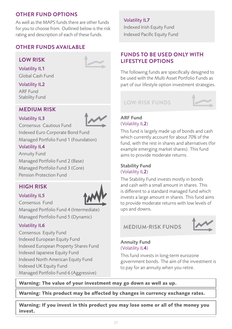#### **OTHER FUND OPTIONS**

As well as the MAPS funds there are other funds for you to choose from. Outlined below is the risk rating and description of each of these funds.

#### **OTHER FUNDS AVAILABLE**

#### **LOW RISK**



### Volatility IL1

Global Cash Fund

#### Volatility IL2

ARF Fund Stability Fund

#### **MEDIUM RISK**

#### Volatility IL3



Consensus Cautious Fund Indexed Euro Corporate Bond Fund

Managed Portfolio Fund 1 (Foundation)

#### Volatility IL4

Annuity Fund Managed Portfolio Fund 2 (Base) Managed Portfolio Fund 3 (Core) Pension Protection Fund

#### **HIGH RISK**

#### Volatility IL5



Consensus Fund Managed Portfolio Fund 4 (Intermediate)

Managed Portfolio Fund 5 (Dynamic)

#### Volatility IL6

Consensus Equity Fund Indexed European Equity Fund Indexed European Property Shares Fund Indexed Japanese Equity Fund Indexed North American Equity Fund Indexed UK Equity Fund Managed Portfolio Fund 6 (Aggressive)

#### Volatility IL7

Indexed Irish Equity Fund Indexed Pacific Equity Fund

#### **FUNDS TO BE USED ONLY WITH LIFESTYLE OPTIONS**

The following funds are specifically designed to be used with the Multi Asset Portfolio Funds as part of our lifestyle option investment strategies.

**LOW-RISK FUNDS**



#### ARF Fund (Volatility IL2)

This fund is largely made up of bonds and cash which currently account for about 70% of the fund, with the rest in shares and alternatives (for example emerging market shares). This fund aims to provide moderate returns.

#### Stability Fund (Volatility IL2)

The Stability Fund invests mostly in bonds and cash with a small amount in shares. This is different to a standard managed fund which invests a large amount in shares. This fund aims to provide moderate returns with low levels of ups and downs.

#### **MEDIUM-RISK FUNDS**



Annuity Fund (Volatility IL4)

This fund invests in long-term eurozone government bonds. The aim of the investment is to pay for an annuity when you retire.

**Warning: The value of your investment may go down as well as up.**

**Warning: This product may be affected by changes in currency exchange rates.**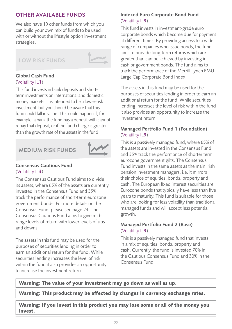#### **OTHER AVAILABLE FUNDS**

We also have 19 other funds from which you can build your own mix of funds to be used with or without the lifestyle option investment strategies.

#### **LOW RISK FUNDS**



#### Global Cash Fund (Volatility IL1)

This fund invests in bank deposits and shortterm investments on international and domestic money markets. It is intended to be a lower-risk investment, but you should be aware that this fund could fall in value. This could happen if, for example, a bank the fund has a deposit with cannot repay that deposit, or if the fund charge is greater than the growth rate of the assets in the fund.

#### **MEDIUM RISK FUNDS**



#### Consensus Cautious Fund (Volatility IL3)

The Consensus Cautious Fund aims to divide its assets, where 65% of the assets are currently invested in the Consensus Fund and 35% track the performance of short-term eurozone government bonds. For more details on the Consensus Fund, please see page 23. The Consensus Cautious Fund aims to give midrange levels of return with lower levels of ups and downs.

The assets in this fund may be used for the purposes of securities lending in order to earn an additional return for the fund. While securities lending increases the level of risk within the fund it also provides an opportunity to increase the investment return.

#### Indexed Euro Corporate Bond Fund (Volatility IL3)

This fund invests in investment-grade euro corporate bonds which become due for payment at different times. By providing access to a wide range of companies who issue bonds, the fund aims to provide long-term returns which are greater than can be achieved by investing in cash or government bonds. The fund aims to track the performance of the Merrill Lynch EMU Large Cap Corporate Bond Index.

The assets in this fund may be used for the purposes of securities lending in order to earn an additional return for the fund. While securities lending increases the level of risk within the fund it also provides an opportunity to increase the investment return.

#### Managed Portfolio Fund 1 (Foundation) (Volatility IL3)

This is a passively managed fund, where 65% of the assets are invested in the Consensus Fund and 35% track the performance of shorter term eurozone government gilts. The Consensus Fund invests in the same assets as the main Irish pension investment managers, i.e. it mirrors their choice of equities, bonds, property and cash. The European fixed interest securities are Eurozone bonds that typically have less than five years to maturity. This fund is suitable for those who are looking for less volatility than traditional managed funds and will accept less potential growth.

#### Managed Portfolio Fund 2 (Base) (Volatility IL3)

This is a passively managed fund that invests in a mix of equities, bonds, property and cash. Currently, the fund is invested 70% in the Cautious Consensus Fund and 30% in the Consensus Fund.

**Warning: The value of your investment may go down as well as up.**

**Warning: This product may be affected by changes in currency exchange rates.**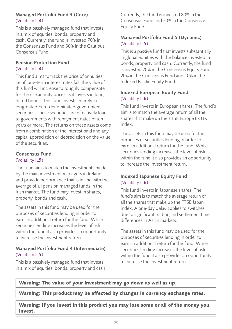#### Managed Portfolio Fund 3 (Core) (Volatility IL4)

This is a passively managed fund that invests in a mix of equities, bonds, property and cash. Currently, the fund is invested 70% in the Consensus Fund and 30% in the Cautious Consensus Fund.

#### Pension Protection Fund (Volatility IL4)

This fund aims to track the price of annuities i.e. if long-term interest rates fall, the value of this fund will increase to roughly compensate for the rise annuity prices as it invests in long dated bonds. This fund invests entirely in long-dated Euro-denominated government securities. These securities are effectively loans to governments with repayment dates of ten years or more. The returns on these assets come from a combination of the interest paid and any capital appreciation or depreciation on the value of the securities.

#### Consensus Fund (Volatility IL5)

The fund aims to match the investments made by the main investment managers in Ireland and provide performance that is in line with the average of all pension managed funds in the Irish market. The fund may invest in shares, property, bonds and cash.

The assets in this fund may be used for the purposes of securities lending in order to earn an additional return for the fund. While securities lending increases the level of risk within the fund it also provides an opportunity to increase the investment return.

#### Managed Portfolio Fund 4 (Intermediate) (Volatility IL5)

This is a passively managed fund that invests in a mix of equities, bonds, property and cash. Currently, the fund is invested 80% in the Consensus Fund and 20% in the Consensus Equity Fund.

#### Managed Portfolio Fund 5 (Dynamic) (Volatility IL5)

This is a passive fund that invests substantially in global equities with the balance invested in bonds, property and cash. Currently, the fund is invested 70% in the Consensus Equity Fund, 20% in the Consensus Fund and 10% in the Indexed Pacific Equity Fund.

#### Indexed European Equity Fund (Volatility IL6)

This fund invests in European shares. The fund's aim is to match the average return of all the shares that make up the FTSE Europe Ex UK Index.

The assets in this fund may be used for the purposes of securities lending in order to earn an additional return for the fund. While securities lending increases the level of risk within the fund it also provides an opportunity to increase the investment return.

#### Indexed Japanese Equity Fund (Volatility IL6)

This fund invests in Japanese shares. The fund's aim is to match the average return of all the shares that make up the FTSE Japan Index. A one-day delay applies to switches due to significant trading and settlement time differences in Asian markets.

The assets in this fund may be used for the purposes of securities lending in order to earn an additional return for the fund. While securities lending increases the level of risk within the fund it also provides an opportunity to increase the investment return.

**Warning: The value of your investment may go down as well as up.**

**Warning: This product may be affected by changes in currency exchange rates.**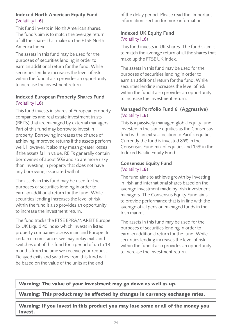#### Indexed North American Equity Fund (Volatility IL6)

This fund invests in North American shares. The fund's aim is to match the average return of all the shares that make up the FTSE North America Index.

The assets in this fund may be used for the purposes of securities lending in order to earn an additional return for the fund. While securities lending increases the level of risk within the fund it also provides an opportunity to increase the investment return.

#### Indexed European Property Shares Fund (Volatility IL6)

This fund invests in shares of European property companies and real estate investment trusts (REITs) that are managed by external managers. Part of this fund may borrow to invest in property. Borrowing increases the chance of achieving improved returns if the assets perform well. However, it also may mean greater losses if the assets fall in value. REITs generally contain borrowings of about 50% and so are more risky than investing in property that does not have any borrowing associated with it.

The assets in this fund may be used for the purposes of securities lending in order to earn an additional return for the fund. While securities lending increases the level of risk within the fund it also provides an opportunity to increase the investment return.

The fund tracks the FTSE EPRA/NAREIT Europe Ex UK Liquid 40 index which invests in listed property companies across mainland Europe. In certain circumstances we may delay exits and switches out of this fund for a period of up to 18 months from the time we receive your request. Delayed exits and switches from this fund will be based on the value of the units at the end

of the delay period. Please read the 'Important information' section for more information.

#### Indexed UK Equity Fund (Volatility IL6)

This fund invests in UK shares. The fund's aim is to match the average return of all the shares that make up the FTSE UK Index.

The assets in this fund may be used for the purposes of securities lending in order to earn an additional return for the fund. While securities lending increases the level of risk within the fund it also provides an opportunity to increase the investment return.

#### Managed Portfolio Fund 6 (Aggressive) (Volatility IL6)

This is a passively managed global equity fund invested in the same equities as the Consensus fund with an extra allocation to Pacific equities. Currently the fund is invested 85% in the Consensus Fund mix of equities and 15% in the Indexed Pacific Equity Fund.

#### Consensus Equity Fund (Volatility IL6)

The fund aims to achieve growth by investing in Irish and international shares based on the average investment made by Irish investment managers. The Consensus Equity Fund aims to provide performance that is in line with the average of all pension managed funds in the Irish market.

The assets in this fund may be used for the purposes of securities lending in order to earn an additional return for the fund. While securities lending increases the level of risk within the fund it also provides an opportunity to increase the investment return.

**Warning: The value of your investment may go down as well as up.**

**Warning: This product may be affected by changes in currency exchange rates.**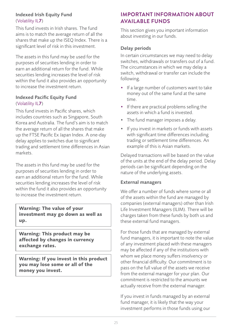#### Indexed Irish Equity Fund (Volatility IL7)

This fund invests in Irish shares. The fund aims is to match the average return of all the shares that make up the ISEQ Index. There is a significant level of risk in this investment.

The assets in this fund may be used for the purposes of securities lending in order to earn an additional return for the fund. While securities lending increases the level of risk within the fund it also provides an opportunity to increase the investment return.

#### Indexed Pacific Equity Fund (Volatility IL7)

This fund invests in Pacific shares, which includes countries such as Singapore, South Korea and Australia. The fund's aim is to match the average return of all the shares that make up the FTSE Pacific Ex Japan Index. A one-day delay applies to switches due to significant trading and settlement time differences in Asian markets.

The assets in this fund may be used for the purposes of securities lending in order to earn an additional return for the fund. While securities lending increases the level of risk within the fund it also provides an opportunity to increase the investment return.

**Warning: The value of your investment may go down as well as up.**

**Warning: This product may be affected by changes in currency exchange rates.**

**Warning: If you invest in this product you may lose some or all of the money you invest.**

#### **IMPORTANT INFORMATION ABOUT AVAILABLE FUNDS**

This section gives you important information about investing in our funds.

#### Delay periods

In certain circumstances we may need to delay switches, withdrawals or transfers out of a fund. The circumstances in which we may delay a switch, withdrawal or transfer can include the following.

- If a large number of customers want to take money out of the same fund at the same time.
- If there are practical problems selling the assets in which a fund is invested.
- The fund manager imposes a delay.
- If you invest in markets or funds with assets with significant time differences including trading or settlement time differences. An example of this is Asian markets.

Delayed transactions will be based on the value of the units at the end of the delay period. Delay periods can be significant depending on the nature of the underlying assets.

#### External managers

We offer a number of funds where some or all of the assets within the fund are managed by companies (external managers) other than Irish Life Investment Managers (ILIM). There will be charges taken from these funds by both us and these external fund managers.

For those funds that are managed by external fund managers, it is important to note the value of any investment placed with these managers may be affected if any of the institutions with whom we place money suffers insolvency or other financial difficulty. Our commitment is to pass on the full value of the assets we receive from the external manager for your plan. Our commitment is restricted to the amounts we actually receive from the external manager.

If you invest in funds managed by an external fund manager, it is likely that the way your investment performs in those funds using our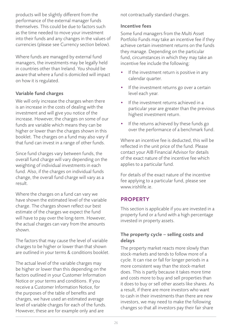products will be slightly different from the performance of the external manager funds themselves. This could be due to factors such as the time needed to move your investment into their funds and any changes in the values of currencies (please see Currency section below).

Where funds are managed by external fund managers, the investments may be legally held in countries other than Ireland. You should be aware that where a fund is domiciled will impact on how it is regulated.

#### Variable fund charges

We will only increase the charges when there is an increase in the costs of dealing with the investment and will give you notice of the increase. However, the charges on some of our funds are variable which means they can be higher or lower than the charges shown in this booklet. The charges on a fund may also vary if that fund can invest in a range of other funds.

Since fund charges vary between funds, the overall fund charge will vary depending on the weighting of individual investments in each fund. Also, if the charges on individual funds change, the overall fund charge will vary as a result.

Where the charges on a fund can vary we have shown the estimated level of the variable charge. The charges shown reflect our best estimate of the charges we expect the fund will have to pay over the long-term. However, the actual charges can vary from the amounts shown.

The factors that may cause the level of variable charges to be higher or lower than that shown are outlined in your terms & conditions booklet.

The actual level of the variable charges may be higher or lower than this depending on the factors outlined in your Customer Information Notice or your terms and conditions. If you receive a Customer Information Notice, for the purposes of the table of benefits and charges, we have used an estimated average level of variable charges for each of the funds. However, these are for example only and are

not contractually standard charges.

#### Incentive fees

Some fund managers from the Multi Asset Portfolio Funds may take an incentive fee if they achieve certain investment returns on the funds they manage. Depending on the particular fund, circumstances in which they may take an incentive fee include the following:

- If the investment return is positive in any calendar quarter.
- If the investment returns go over a certain level each year.
- If the investment returns achieved in a particular year are greater than the previous highest investment return.
- If the returns achieved by these funds go over the performance of a benchmark fund.

Where an incentive fee is deducted, this will be reflected in the unit price of the fund. Please contact your AIB Financial Advisor for details of the exact nature of the incentive fee which applies to a particular fund.

For details of the exact nature of the incentive fee applying to a particular fund, please see www.irishlife.ie.

#### **PROPERTY**

This section is applicable if you are invested in a property fund or a fund with a high percentage invested in property assets.

#### The property cycle – selling costs and delays

The property market reacts more slowly than stock-markets and tends to follow more of a cycle. It can rise or fall for longer periods in a more consistent way than the stock-market does. This is partly because it takes more time and costs more to buy and sell properties than it does to buy or sell other assets like shares. As a result, if there are more investors who want to cash in their investments than there are new investors, we may need to make the following changes so that all investors pay their fair share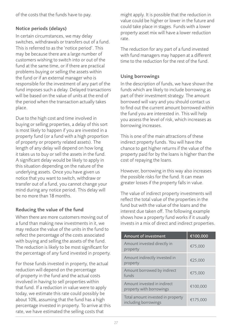of the costs that the funds have to pay.

#### Notice periods (delays)

In certain circumstances, we may delay switches, withdrawals or transfers out of a fund. This is referred to as the 'notice period'. This may be because there are a large number of customers wishing to switch into or out of the fund at the same time, or if there are practical problems buying or selling the assets within the fund or if an external manager who is responsible for the investment of any part of the fund imposes such a delay. Delayed transactions will be based on the value of units at the end of the period when the transaction actually takes place.

Due to the high cost and time involved in buying or selling properties, a delay of this sort is most likely to happen if you are invested in a property fund (or a fund with a high proportion of property or property related assets). The length of any delay will depend on how long it takes us to buy or sell the assets in the fund. A significant delay would be likely to apply in this situation depending on the nature of the underlying assets. Once you have given us notice that you want to switch, withdraw or transfer out of a fund, you cannot change your mind during any notice period. This delay will be no more than 18 months.

#### Reducing the value of the fund

When there are more customers moving out of a fund than making new investments in it, we may reduce the value of the units in the fund to reflect the percentage of the costs associated with buying and selling the assets of the fund. The reduction is likely to be most significant for the percentage of any fund invested in property.

For those funds invested in property, the actual reduction will depend on the percentage of property in the fund and the actual costs involved in having to sell properties within that fund. If a reduction in value were to apply today, we estimate this rate could possibly be about 10%, assuming that the fund has a high percentage invested in property. To arrive at this rate, we have estimated the selling costs that

might apply. It is possible that the reduction in value could be higher or lower in the future and could take place in stages. Funds with a lower property asset mix will have a lower reduction rate.

The reduction for any part of a fund invested with fund managers may happen at a different time to the reduction for the rest of the fund.

#### Using borrowings

In the description of funds, we have shown the funds which are likely to include borrowing as part of their investment strategy. The amount borrowed will vary and you should contact us to find out the current amount borrowed within the fund you are interested in. This will help you assess the level of risk, which increases as borrowing increases.

This is one of the main attractions of these indirect property funds. You will have the chance to get higher returns if the value of the property paid for by the loans is higher than the cost of repaying the loans.

However, borrowing in this way also increases the possible risks for the fund. It can mean greater losses if the property falls in value.

The value of indirect property investments will reflect the total value of the properties in the fund but with the value of the loans and the interest due taken off. The following example shows how a property fund works if it usually invests in a mix of direct and indirect properties.

| <b>Amount of investment</b>                               | €100,000 |
|-----------------------------------------------------------|----------|
| Amount invested directly in<br>property                   | €75.000  |
| Amount indirectly invested in<br>property                 | €25,000  |
| Amount borrowed by indirect<br>funds                      | €75.000  |
| Amount invested in indirect<br>property with borrowings   | €100.000 |
| Total amount invested in property<br>including borrowings | €175,000 |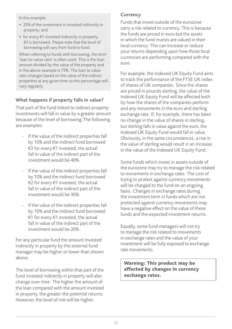In this example:

- 25% of the investment is invested indirectly in property; and
- for every €1 invested indirectly in property, €3 is borrowed. Please note that the level of borrowing will vary from fund to fund.

When referring to funds with borrowing, the term 'loan-to-value ratio' is often used. This is the loan amount divided by the value of the property and in the above example is 75%. The loan to value ratio changes based on the value of the indirect properties at any given time so this percentage will vary regularly.

#### What happens if property falls in value?

That part of the fund linked to indirect property investments will fall in value by a greater amount because of the level of borrowing.The following are examples:

- If the value of the indirect properties fall by 10% and the indirect fund borrowed €3 for every €1 invested, the actual fall in value of the indirect part of the investment would be 40%.
- If the value of the indirect properties fall by 10% and the indirect fund borrowed €2 for every €1 invested, the actual fall in value of the indirect part of the investment would be 30%.
- If the value of the indirect properties fall by 10% and the indirect fund borrowed €1 for every €1 invested, the actual fall in value of the indirect part of the investment would be 20%.

For any particular fund the amount invested indirectly in property by the external fund manager may be higher or lower than shown above.

The level of borrowing within that part of the fund invested indirectly in property will also change over time. The higher the amount of the loan compared with the amount invested in property, the greater the potential returns. However, the level of risk will be higher.

#### **Currency**

Funds that invest outside of the eurozone carry a risk related to currency. This is because the funds are priced in euro but the assets in which the fund invests are valued in their local currency. This can increase or reduce your returns depending upon how those local currencies are performing compared with the euro.

For example, the Indexed UK Equity Fund aims to track the performance of the FTSE UK index of shares of UK companies. Since the shares are priced in pounds sterling, the value of the Indexed UK Equity Fund will be affected both by how the shares of the companies perform and any movements in the euro and sterling exchange rate. If, for example, there has been no change in the value of shares in sterling, but sterling falls in value against the euro, the Indexed UK Equity Fund would fall in value. Obviously, in the same circumstances, a rise in the value of sterling would result in an increase in the value of the Indexed UK Equity Fund.

Some funds which invest in assets outside of the eurozone may try to manage the risk related to movements in exchange rates. The cost of trying to protect against currency movements will be charged to the fund on an ongoing basis. Changes in exchange rates during the investment term in funds which are not protected against currency movements may have a negative effect on the value of these funds and the expected investment returns.

Equally, some fund managers will not try to manage the risk related to movements in exchange rates and the value of your investment will be fully exposed to exchange rate movements.

**Warning: This product may be affected by changes in currency exchange rates.**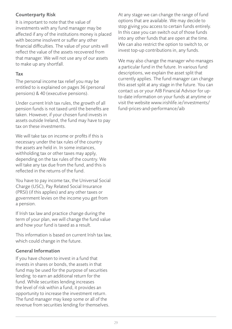#### Counterparty Risk

It is important to note that the value of investments with any fund manager may be affected if any of the institutions money is placed with become insolvent or suffer any other financial difficulties. The value of your units will reflect the value of the assets recovered from that manager. We will not use any of our assets to make up any shortfall.

#### Tax

The personal income tax relief you may be entitled to is explained on pages 36 (personal pensions) & 40 (executive pensions).

Under current Irish tax rules, the growth of all pension funds is not taxed until the benefits are taken. However, if your chosen fund invests in assets outside Ireland, the fund may have to pay tax on these investments.

We will take tax on income or profits if this is necessary under the tax rules of the country the assets are held in. In some instances, withholding tax or other taxes may apply, depending on the tax rules of the country. We will take any tax due from the fund, and this is reflected in the returns of the fund.

You have to pay income tax, the Universal Social Charge (USC), Pay Related Social Insurance (PRSI) (if this applies) and any other taxes or government levies on the income you get from a pension.

If Irish tax law and practice change during the term of your plan, we will change the fund value and how your fund is taxed as a result.

This information is based on current Irish tax law, which could change in the future.

#### General Information

If you have chosen to invest in a fund that invests in shares or bonds, the assets in that fund may be used for the purpose of securities lending to earn an additional return for the fund. While securities lending increases the level of risk within a fund, it provides an opportunity to increase the investment return. The fund manager may keep some or all of the revenue from securities lending for themselves. At any stage we can change the range of fund options that are available. We may decide to stop giving you access to certain funds entirely. In this case you can switch out of those funds into any other funds that are open at the time. We can also restrict the option to switch to, or invest top-up contributions in, any funds.

We may also change the manager who manages a particular fund in the future. In various fund descriptions, we explain the asset split that currently applies. The fund manager can change this asset split at any stage in the future. You can contact us or your AIB Financial Advisor for upto-date information on your funds at anytime or visit the website www.irishlife.ie/investments/ fund-prices-and-performance/aib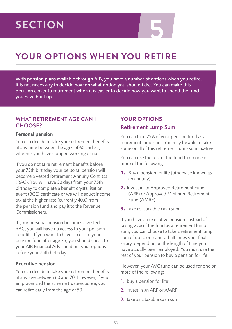## **5 SECTION**

## **YOUR OPTIONS WHEN YOU RETIRE**

With pension plans available through AIB, you have a number of options when you retire. It is not necessary to decide now on what option you should take. You can make this decision closer to retirement when it is easier to decide how you want to spend the fund you have built up.

#### **WHAT RETIREMENT AGE CAN I CHOOSE?**

#### Personal pension

You can decide to take your retirement benefits at any time between the ages of 60 and 75, whether you have stopped working or not.

If you do not take retirement benefits before your 75th birthday your personal pension will become a vested Retirement Annuity Contract (RAC). You will have 30 days from your 75th birthday to complete a benefit crystallisation event (BCE) certificate or we will deduct income tax at the higher rate (currently 40%) from the pension fund and pay it to the Revenue Commissioners.

If your personal pension becomes a vested RAC, you will have no access to your pension benefits. If you want to have access to your pension fund after age 75, you should speak to your AIB Financial Advisor about your options before your 75th birthday.

#### Executive pension

You can decide to take your retirement benefits at any age between 60 and 70. However, if your employer and the scheme trustees agree, you can retire early from the age of 50.

#### **YOUR OPTIONS**

#### Retirement Lump Sum

You can take 25% of your pension fund as a retirement lump sum. You may be able to take some or all of this retirement lump sum tax-free.

You can use the rest of the fund to do one or more of the following:

- **1.** Buy a pension for life (otherwise known as an annuity).
- **2.** Invest in an Approved Retirement Fund (ARF) or Approved Minimum Retirement Fund (AMRF).
- **3.** Take as a taxable cash sum.

If you have an executive pension, instead of taking 25% of the fund as a retirement lump sum, you can choose to take a retirement lump sum of up to one-and-a-half times your final salary, depending on the length of time you have actually been employed. You must use the rest of your pension to buy a pension for life.

However, your AVC fund can be used for one or more of the following:

- 1. buy a pension for life;
- 2. invest in an ARF or AMRF;
- 3. take as a taxable cash sum.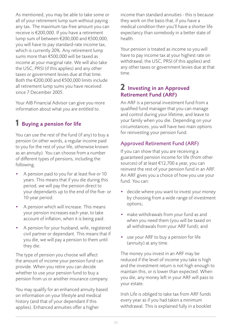As mentioned, you may be able to take some or all of your retirement lump sum without paying any tax. The maximum tax-free amount you can receive is €200,000. If you have a retirement lump sum of between €200,000 and €500,000, you will have to pay standard-rate income tax, which is currently 20%. Any retirement lump sums more than €500,000 will be taxed as income at your marginal rate. We will also take the USC, PRSI (if this applies) and any other taxes or government levies due at that time. Both the €200,000 and €500,000 limits include all retirement lump sums you have received since 7 December 2005.

Your AIB Financial Advisor can give you more information about what you are entitled to.

### 1 Buying a pension for life

You can use the rest of the fund (if any) to buy a pension (in other words, a regular income paid to you for the rest of your life, otherwise known as an annuity). You can choose from a number of different types of pensions, including the following.

- A pension paid to you for at least five or 10 years. This means that if you die during this period, we will pay the pension direct to your dependants up to the end of the five- or 10-year period.
- A pension which will increase. This means your pension increases each year, to take account of inflation, when it is being paid.
- A pension for your husband, wife, registered civil partner or dependant. This means that if you die, we will pay a pension to them until they die.

The type of pension you choose will affect the amount of income your pension fund can provide. When you retire you can decide whether to use your pension fund to buy a pension from us or another insurance company.

You may qualify for an enhanced annuity based on information on your lifestyle and medical history (and that of your dependant if this applies). Enhanced annuities offer a higher

income than standard annuities - this is because they work on the basis that, if you have a medical condition then you'll have a shorter life expectancy than somebody in a better state of health.

Your pension is treated as income so you will have to pay income tax at your highest rate on withdrawal, the USC, PRSI (if this applies) and any other taxes or government levies due at that time.

#### 2 Investing in an Approved Retirement Fund (ARF)

An ARF is a personal investment fund from a qualified fund manager that you can manage and control during your lifetime, and leave to your family when you die. Depending on your circumstances, you will have two main options for reinvesting your pension fund.

#### Approved Retirement Fund (ARF)

If you can show that you are receiving a guaranteed pension income for life (from other sources) of at least €12,700 a year, you can reinvest the rest of your pension fund in an ARF. An ARF gives you a choice of how you use your fund. You can:

- decide where you want to invest your money by choosing from a wide range of investment options;
- make withdrawals from your fund as and when you need them (you will be taxed on all withdrawals from your ARF fund); and
- use your ARF to buy a pension for life (annuity) at any time.

The money you invest in an ARF may be reduced if the level of income you take is high and the investment return is not high enough to maintain this, or is lower than expected. When you die, any money left in your ARF will pass to your estate.

Irish Life is obliged to take tax from ARF funds every year as if you had taken a minimum withdrawal. This is explained fully in a booklet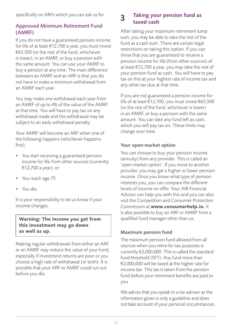specifically on ARFs which you can ask us for.

#### Approved Minimum Retirement Fund (AMRF)

If you do not have a guaranteed pension income for life of at least €12,700 a year, you must invest €63,500 (or the rest of the fund, whichever is lower), in an AMRF, or buy a pension with the same amount. You can use your AMRF to buy a pension at any time. The main difference between an AMRF and an ARF is that you do not have to make a minimum withdrawal from an AMRF each year.

You may make one withdrawal each year from an AMRF of up to 4% of the value of the AMRF at that time. You will have to pay tax on any withdrawal made and the withdrawal may be subject to an early withdrawal penalty.

Your AMRF will become an ARF when one of the following happens (whichever happens first).

- You start receiving a guaranteed pension income for life from other sources (currently €12,700 a year), or
- You reach age 75.
- You die.

It is your responsibility to let us know if your income changes.

**Warning: The income you get from this investment may go down as well as up.**

Making regular withdrawals from either an ARF or an AMRF may reduce the value of your fund, especially if investment returns are poor or you choose a high rate of withdrawal (or both). It is possible that your ARF or AMRF could run out before you die.

#### 3 Taking your pension fund as taxed cash

After taking your maximum retirement lump sum, you may be able to take the rest of the fund as a cash sum. There are certain legal restrictions on taking this option. If you can show that you are guaranteed to receive a pension income for life (from other sources) of at least €12,700 a year, you may take the rest of your pension fund as cash. You will have to pay tax on this at your highest rate of income tax and any other tax due at that time.

If you are not guaranteed a pension income for life of at least €12,700, you must invest €63,500 (or the rest of the fund, whichever is lower) in an AMRF, or buy a pension with the same amount. You can take any fund left as cash, which you will pay tax on. These limits may change over time.

#### Your open-market option

You can choose to buy your pension income (annuity) from any provider. This is called an 'open-market option'. If you move to another provider, you may get a higher or lower pension income. Once you know what type of pension interests you, you can compare the different levels of income on offer. Your AIB Financial Advisor can help you with this and you can also visit the Competition and Consumer Protection Commission at **www.consumerhelp.ie.** It is also possible to buy an ARF or AMRF from a qualified fund manager other than us.

#### Maximum pension fund

The maximum pension fund allowed from all sources when you retire for tax purposes is currently €2,000,000. This is called the standard fund threshold (SFT). Any fund more than €2,000,000 will be taxed at the higher rate for income tax. This tax is taken from the pension fund before your retirement benefits are paid to you.

We advise that you speak to a tax adviser as the information given is only a guideline and does not take account of your personal circumstances.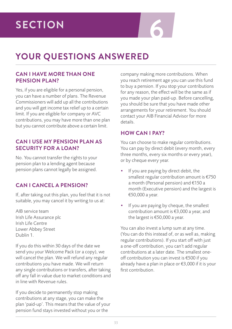## **YOUR QUESTIONS ANSWERED**

#### **CAN I HAVE MORE THAN ONE PENSION PLAN?**

Yes, if you are eligible for a personal pension, you can have a number of plans. The Revenue Commissioners will add up all the contributions and you will get income tax relief up to a certain limit. If you are eligible for company or AVC contributions, you may have more than one plan but you cannot contribute above a certain limit.

#### **CAN I USE MY PENSION PLAN AS SECURITY FOR A LOAN?**

No. You cannot transfer the rights to your pension plan to a lending agent because pension plans cannot legally be assigned.

#### **CAN I CANCEL A PENSION?**

If, after taking out this plan, you feel that it is not suitable, you may cancel it by writing to us at:

AIB service team Irish Life Assurance plc Irish Life Centre Lower Abbey Street Dublin 1.

If you do this within 30 days of the date we send you your Welcome Pack (or a copy), we will cancel the plan. We will refund any regular contributions you have made. We will return any single contributions or transfers, after taking off any fall in value due to market conditions and in line with Revenue rules.

If you decide to permanently stop making contributions at any stage, you can make the plan 'paid-up'. This means that the value of your pension fund stays invested without you or the

company making more contributions. When you reach retirement age you can use this fund to buy a pension. If you stop your contributions for any reason, the effect will be the same as if you made your plan paid-up. Before cancelling, you should be sure that you have made other arrangements for your retirement. You should contact your AIB Financial Advisor for more details.

#### **HOW CAN I PAY?**

You can choose to make regular contributions. You can pay by direct debit (every month, every three months, every six months or every year), or by cheque every year.

- If you are paying by direct debit, the smallest regular contribution amount is €750 a month (Personal pension) and €150 a month (Executive pension) and the largest is €50,000 a year.
- If you are paying by cheque, the smallest contribution amount is €3,000 a year, and the largest is €50,000 a year.

You can also invest a lump sum at any time. (You can do this instead of, or as well as, making regular contributions). If you start off with just a one-off contribution, you can't add regular contributions at a later date. The smallest oneoff contribution you can invest is €500 if you already have a plan in place or €3,000 if it is your first contribution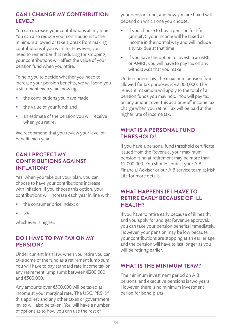#### **CAN I CHANGE MY CONTRIBUTION LEVEL?**

You can increase your contributions at any time. You can also reduce your contributions to the minimum allowed or take a break from making contributions if you want to. However, you need to remember that reducing (or stopping) your contributions will affect the value of your pension fund when you retire.

To help you to decide whether you need to increase your pension benefits, we will send you a statement each year showing:

- the contributions you have made;
- the value of your fund; and
- an estimate of the pension you will receive when you retire.

We recommend that you review your level of benefit each year.

#### **CAN I PROTECT MY CONTRIBUTIONS AGAINST INFLATION?**

Yes, when you take out your plan, you can choose to have your contributions increase with inflation. If you choose this option, your contributions will increase each year in line with:

- the consumer price index; or
- 5%:

whichever is higher.

#### **DO I HAVE TO PAY TAX ON MY PENSION?**

Under current Irish law, when you retire you can take some of the fund as a retirement lump sum. You will have to pay standard rate income tax on any retirement lump sums between €200,000 and €500,000.

Any amounts over €500,000 will be taxed as income at your marginal rate. The USC, PRSI (if this applies) and any other taxes or government levies will also be taken. You will have a number of options as to how you can use the rest of

your pension fund, and how you are taxed will depend on which one you choose.

- If you choose to buy a pension for life (annuity), your income will be taxed as income in the normal way and will include any tax due at that time.
- If you have the option to invest in an ARF, or AMRF, you will have to pay tax on any withdrawals that you make.

Under current law, the maximum pension fund allowed for tax purposes is €2,000,000. The relevant maximum will apply to the total of all pension funds you may hold. You will pay tax on any amount over this as a one-off income tax charge when you retire. Tax will be paid at the higher rate of income tax.

#### **WHAT IS A PERSONAL FUND THRESHOLD?**

If you have a personal fund threshold certificate issued from the Revenue, your maximum pension fund at retirement may be more than €2,000,000. You should contact your AIB Financial Advisor or our AIB service team at Irish Life for more details.

#### **WHAT HAPPENS IF I HAVE TO RETIRE EARLY BECAUSE OF ILL HEALTH?**

If you have to retire early because of ill health, and you apply for and get Revenue approval, you can take your pension benefits immediately. However, your pension may be low because your contributions are stopping at an earlier age and the pension will have to last longer as you will be retiring earlier.

#### **WHAT IS THE MINIMUM TERM?**

The minimum investment period on AIB personal and executive pensions is two years. However, there is no minimum investment period for bond plans.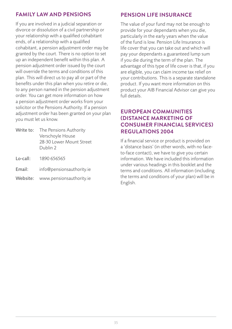#### **FAMILY LAW AND PENSIONS**

If you are involved in a judicial separation or divorce or dissolution of a civil partnership or your relationship with a qualified cohabitant ends, of a relationship with a qualified cohabitant, a pension adjustment order may be granted by the court. There is no option to set up an independent benefit within this plan. A pension adjustment order issued by the court will override the terms and conditions of this plan. This will direct us to pay all or part of the benefits under this plan when you retire or die, to any person named in the pension adjustment order. You can get more information on how a pension adjustment order works from your solicitor or the Pensions Authority. If a pension adjustment order has been granted on your plan you must let us know.

- Write to: The Pensions Authority Verschoyle House 28-30 Lower Mount Street Dublin 2
- Lo-call: 1890 656565
- Email: info@pensionsauthority.ie
- Website: www.pensionsauthority.ie

#### **PENSION LIFE INSURANCE**

The value of your fund may not be enough to provide for your dependants when you die, particularly in the early years when the value of the fund is low. Pension Life Insurance is life cover that you can take out and which will pay your dependants a guaranteed lump sum if you die during the term of the plan. The advantage of this type of life cover is that, if you are eligible, you can claim income tax relief on your contributions. This is a separate standalone product. If you want more information on this product your AIB Financial Advisor can give you full details.

#### **EUROPEAN COMMUNITIES (DISTANCE MARKETING OF CONSUMER FINANCIAL SERVICES) REGULATIONS 2004**

If a financial service or product is provided on a 'distance basis' (in other words, with no faceto-face contact), we have to give you certain information. We have included this information under various headings in this booklet and the terms and conditions. All information (including the terms and conditions of your plan) will be in English.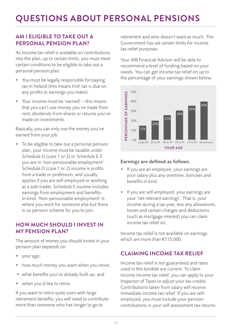#### **AM I ELIGIBLE TO TAKE OUT A PERSONAL PENSION PLAN?**

As income tax relief is available on contributions into the plan, up to certain limits, you must meet certain conditions to be eligible to take out a personal pension plan.

- You must be legally responsible for paying tax in Ireland (this means Irish tax is due on any profits or earnings you make).
- Your income must be 'earned' this means that you can't use money you've made from rent, dividends from shares or returns you've made on investments.

Basically, you can only use the money you've earned from your job.

• To be eligible to take out a personal pension plan, your income must be taxable under Schedule D (case 1 or 2) or Schedule E if you are in 'non-pensionable employment'. Schedule D (case 1 or 2) income is profits from a trade or profession, and usually applies if you are self-employed or working as a sole trader. Schedule E income includes earnings from employment and benefitsin-kind. 'Non-pensionable employment' is where you work for someone else but there is no pension scheme for you to join.

#### **HOW MUCH SHOULD I INVEST IN MY PENSION PLAN?**

The amount of money you should invest in your pension plan depends on:

- your age;
- how much money you want when you retire;
- what benefits you've already built up; and
- when you'd like to retire.

If you want to retire quite soon with large retirement benefits, you will need to contribute more than someone who has longer to go to

retirement and who doesn't want as much. The Government has set certain limits for income tax-relief purposes.

Your AIB Financial Advisor will be able to recommend a level of funding based on your needs. You can get income tax relief on up to medast four dark get medine take for the percentage of your earnings shown below. e percentage or your earnings si



#### Earnings are defined as follows.

- If you are an employee, your earnings are your salary plus any overtime, bonuses and benefits in kind.
- If you are self-employed, your earnings are your 'net relevant earnings'. That is, your income during a tax year, less any allowances, losses and certain charges and deductions (such as mortgage interest) you can claim income tax relief on.

Income tax relief is not available on earnings which are more than €115,000.

#### **CLAIMING INCOME TAX RELIEF**

Income tax relief is not guaranteed and rates used in this booklet are current. To claim income income tax relief, you can apply to your Inspector of Taxes to adjust your tax credits. Contributions taken from salary will receive immediate income tax relief. If you are selfemployed, you must include your pension contributions in your self assessment tax returns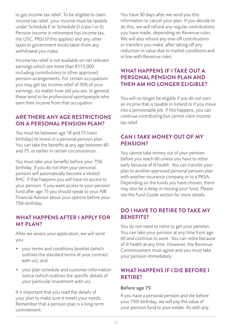to get income tax relief. To be eligible to claim income tax relief, your income must be taxable under Schedule E or Schedule D (case I or II). Pension income in retirement has income tax, the USC, PRSI (if this applies) and any other taxes or government levies taken from any withdrawal you make.

Income tax relief is not available on net relevant earnings which are more than €115,000 including contributions to other approved pension arrangements. For certain occupations you may get tax income relief of 30% of your earnings, no matter how old you are. In general, these tend to be professional sportspeople who earn their income from that occupation.

#### **ARE THERE ANY AGE RESTRICTIONS ON A PERSONAL PENSION PLAN?**

You must be between age 18 and 73 (next birthday) to invest in a personal pension plan. You can take the benefits at any age between 60 and 75, or earlier in certain circumstances.

You must take your benefits before your 75th birthday. If you do not then your personal pension will automatically become a Vested RAC. If that happens you will have no access to your pension. If you want access to your pension fund after age 75 you should speak to your AIB Financial Advisor about your options before your 75th birthday.

#### **WHAT HAPPENS AFTER I APPLY FOR MY PLAN?**

After we assess your application, we will send you:

- your terms and conditions booklet (which outlines the standard terms of your contract with us); and
- your plan schedule and customer information notice (which outlines the specific details of your particular investment with us).

It is important that you read the details of your plan to make sure it meets your needs. Remember that a pension plan is a long-term commitment.

You have 30 days after we send you this information to cancel your plan. If you decide to do this, we will refund any regular contributions you have made, depending on Revenue rules. We will also refund any one-off contributions or transfers you make, after taking off any reduction in value due to market conditions and in line with Revenue rules.

#### **WHAT HAPPENS IF I TAKE OUT A PERSONAL PENSION PLAN AND THEN AM NO LONGER ELIGIBLE?**

You will no longer be eligible if you do not earn an income that is taxable in Ireland or if you move into a pensionable job. If this happens, you can continue contributing but cannot claim income tax relief.

#### **CAN I TAKE MONEY OUT OF MY PENSION?**

You cannot take money out of your pension before you reach 60 unless you have to retire early because of ill health. You can transfer your plan to another approved personal pension plan with another insurance company or to a PRSA. Depending on the funds you have chosen, there may also be a delay in moving your fund. Please see the Fund Guide section for more details.

#### **DO I HAVE TO RETIRE TO TAKE MY BENEFITS?**

You do not need to retire to get your pension. You can take your pension at any time from age 60 and continue to work. You can retire because of ill health at any time. However, the Revenue Commissioners must agree and you must take your pension immediately.

#### **WHAT HAPPENS IF I DIE BEFORE I RETIRE?**

#### Before age 75

If you have a personal pension and die before your 75th birthday, we will pay the value of your pension fund to your estate. As with any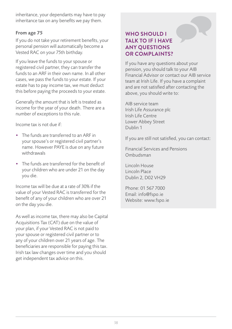inheritance, your dependants may have to pay inheritance tax on any benefits we pay them.

#### From age 75

If you do not take your retirement benefits, your personal pension will automatically become a Vested RAC on your 75th birthday.

If you leave the funds to your spouse or registered civil partner, they can transfer the funds to an ARF in their own name. In all other cases, we pass the funds to your estate. If your estate has to pay income tax, we must deduct this before paying the proceeds to your estate.

Generally the amount that is left is treated as income for the year of your death. There are a number of exceptions to this rule.

Income tax is not due if:

- The funds are transferred to an ARF in your spouse's or registered civil partner's name. However PAYE is due on any future withdrawals
- The funds are transferred for the benefit of your children who are under 21 on the day you die.

Income tax will be due at a rate of 30% if the value of your Vested RAC is transferred for the benefit of any of your children who are over 21 on the day you die.

As well as income tax, there may also be Capital Acquisitions Tax (CAT) due on the value of your plan, if your Vested RAC is not paid to your spouse or registered civil partner or to any of your children over 21 years of age. The beneficiaries are responsible for paying this tax. Irish tax law changes over time and you should get independent tax advice on this.

#### **WHO SHOULD I TALK TO IF I HAVE ANY QUESTIONS OR COMPLAINTS?**

If you have any questions about your pension, you should talk to your AIB Financial Advisor or contact our AIB service team at Irish Life. If you have a complaint and are not satisfied after contacting the above, you should write to:

AIB service team Irish Life Assurance plc Irish Life Centre Lower Abbey Street Dublin 1

If you are still not satisfied, you can contact:

Financial Services and Pensions Ombudsman

Lincoln House Lincoln Place Dublin 2, D02 VH29

Phone: 01 567 7000 Email: info@fspo.ie Website: www.fspo.ie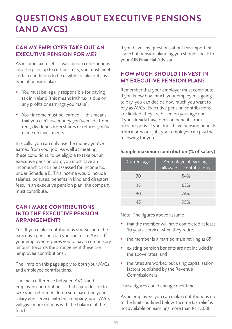## **QUESTIONS ABOUT EXECUTIVE PENSIONS (AND AVCS)**

#### **CAN MY EMPLOYER TAKE OUT AN EXECUTIVE PENSION FOR ME?**

As income tax relief is available on contributions into the plan, up to certain limits, you must meet certain conditions to be eligible to take out any type of pension plan.

- You must be legally responsible for paying tax in Ireland (this means Irish tax is due on any profits or earnings you make).
- Your income must be 'earned' this means that you can't use money you've made from rent, dividends from shares or returns you've made on investments.

Basically, you can only use the money you've earned from your job. As well as meeting these conditions, to be eligible to take out an executive pension plan, you must have an income which can be assessed for income tax under Schedule E. This income would include salaries, bonuses, benefits in kind and directors' fees. In an executive pension plan, the company must contribute.

#### **CAN I MAKE CONTRIBUTIONS INTO THE EXECUTIVE PENSION ARRANGEMENT?**

Yes. If you make contributions yourself into the executive pension plan you can make AVCs. If your employer requires you to pay a compulsory amount towards the arrangement these are 'employee contributions'.

The limits on this page apply to both your AVCs and employee contributions.

The main difference between AVCs and employee contributions is that if you decide to take your retirement lump sum based on your salary and service with the company, your AVCs will give more options with the balance of the fund.

If you have any questions about this important aspect of pension planning you should speak to your AIB Financial Advisor.

#### **HOW MUCH SHOULD I INVEST IN MY EXECUTIVE PENSION PLAN?**

Remember that your employer must contribute. If you know how much your employer is going to pay, you can decide how much you want to pay as AVCs. Executive pension contributions are limited, they are based on your age and if you already have pension benefits from previous jobs. If you don't have pension benefits from a previous job, your employer can pay the following for you.

#### Sample maximum contribution (% of salary)

| Current age | Percentage of earnings<br>allowed as contributions |
|-------------|----------------------------------------------------|
| 30          | 54%                                                |
| 35          | 63%                                                |
| 40          | 76%                                                |
|             | 95%                                                |

Note: The figures above assume:

- that the member will have completed at least 10 years' service when they retire;
- the member is a married male retiring at 65;
- existing pension benefits are not included in the above rates; and
- the rates are worked out using capitalisation factors published by the Revenue Commissioners.

These figures could change over time.

As an employee, you can make contributions up to the limits outlined below. Income tax relief is not available on earnings more than €115,000.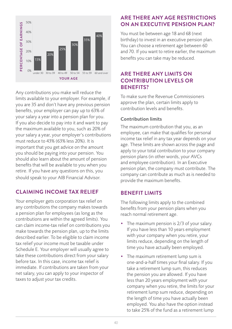

Any contributions you make will reduce the limits available to your employer. For example, if you are 35 and don't have any previous pension benefits, your employer can pay up to 63% of your salary a year into a pension plan for you. If you also decide to pay into it and want to pay the maximum available to you, such as 20% of your salary a year, your employer's contributions must reduce to 43% (63% less 20%). It is important that you get advice on the amount you should be paying into your pension. You should also learn about the amount of pension benefits that will be available to you when you retire. If you have any questions on this, you should speak to your AIB Financial Advisor.

#### **CLAIMING INCOME TAX RELIEF**

Your employer gets corporation tax relief on any contributions the company makes towards a pension plan for employees (as long as the contributions are within the agreed limits). You can claim income-tax relief on contributions you make towards the pension plan, up to the limits described earlier. To be eligible to claim income tax relief your income must be taxable under Schedule E. Your employer will usually agree to take these contributions direct from your salary before tax. In this case, income tax relief is immediate. If contributions are taken from your net salary, you can apply to your inspector of taxes to adjust your tax credits.

#### **ARE THERE ANY AGE RESTRICTIONS ON AN EXECUTIVE PENSION PLAN?**

You must be between age 18 and 68 (next birthday) to invest in an executive pension plan. You can choose a retirement age between 60 and 70. If you want to retire earlier, the maximum benefits you can take may be reduced.

#### **ARE THERE ANY LIMITS ON CONTRIBUTION LEVELS OR BENEFITS?**

To make sure the Revenue Commissioners approve the plan, certain limits apply to contribution levels and benefits.

#### Contribution limits

The maximum contribution that you, as an employee, can make that qualifies for personal income tax relief in any tax year depends on your age. These limits are shown across the page and apply to your total contribution to your company pension plans (in other words, your AVCs and employee contribution). In an Executive pension plan, the company must contribute. The company can contribute as much as is needed to provide the maximum benefits.

#### **BENEFIT LIMITS**

The following limits apply to the combined benefits from your pension plans when you reach normal retirement age.

- The maximum pension is 2/3 of your salary. If you have less than 10 years employment with your company when you retire, your limits reduce, depending on the length of time you have actually been employed.
- The maximum retirement lump sum is one-and-a-half times your final salary. If you take a retirement lump sum, this reduces the pension you are allowed. If you have less than 20 years employment with your company when you retire, the limits for your retirement lump sum reduce, depending on the length of time you have actually been employed. You also have the option instead to take 25% of the fund as a retirement lump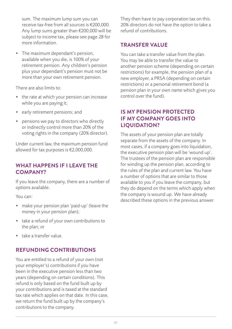sum. The maximum lump sum you can receive tax-free from all sources is €200,000. Any lump sums greater than €200,000 will be subject to income tax, please see page 28 for more information.

• The maximum dependant's pension, available when you die, is 100% of your retirement pension. Any children's pension plus your dependant's pension must not be more than your own retirement pension.

There are also limits to:

- the rate at which your pension can increase while you are paying it;
- early retirement pensions; and
- pensions we pay to directors who directly or indirectly control more than 20% of the voting rights in the company (20% director).

Under current law, the maximum pension fund allowed for tax purposes is €2,000,000.

#### **WHAT HAPPENS IF I LEAVE THE COMPANY?**

If you leave the company, there are a number of options available.

You can:

- make your pension plan 'paid-up' (leave the money in your pension plan);
- take a refund of your own contributions to the plan; or
- take a transfer value.

#### **REFUNDING CONTRIBUTIONS**

You are entitled to a refund of your own (not your employer's) contributions if you have been in the executive pension less than two years (depending on certain conditions). This refund is only based on the fund built up by your contributions and is taxed at the standard tax rate which applies on that date. In this case, we return the fund built up by the company's contributions to the company.

They then have to pay corporation tax on this. 20% directors do not have the option to take a refund of contributions.

#### **TRANSFER VALUE**

You can take a transfer value from the plan. You may be able to transfer the value to another pension scheme (depending on certain restrictions) for example, the pension plan of a new employer, a PRSA (depending on certain restrictions) or a personal retirement bond (a pension plan in your own name which gives you control over the fund).

#### **IS MY PENSION PROTECTED IF MY COMPANY GOES INTO LIQUIDATION?**

The assets of your pension plan are totally separate from the assets of the company. In most cases, if a company goes into liquidation, the executive pension plan will be 'wound up'. The trustees of the pension plan are responsible for winding up the pension plan, according to the rules of the plan and current law. You have a number of options that are similar to those available to you if you leave the company, but they do depend on the terms which apply when the company is wound up. We have already described these options in the previous answer.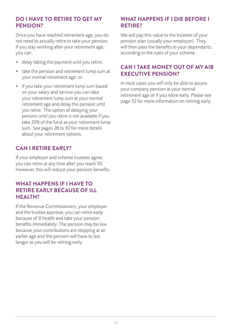#### **DO I HAVE TO RETIRE TO GET MY PENSION?**

Once you have reached retirement age, you do not need to actually retire to take your pension. If you stay working after your retirement age, you can:

- delay taking the payment until you retire;
- take the pension and retirement lump sum at your normal retirement age; or
- if you take your retirement lump sum based on your salary and service you can take your retirement lump sum at your normal retirement age and delay the pension until you retire. The option of delaying your pension until you retire is not available if you take 25% of the fund as your retirement lump sum. See pages 28 to 30 for more details about your retirement options.

#### **CAN I RETIRE EARLY?**

If your employer and scheme trustees agree, you can retire at any time after you reach 50. However, this will reduce your pension benefits.

#### **WHAT HAPPENS IF I HAVE TO RETIRE EARLY BECAUSE OF ILL HEALTH?**

If the Revenue Commissioners, your employer and the trustee approve, you can retire early because of ill health and take your pension benefits immediately. The pension may be low because your contributions are stopping at an earlier age and the pension will have to last longer as you will be retiring early.

#### **WHAT HAPPENS IF I DIE BEFORE I RETIRE?**

We will pay this value to the trustees of your pension plan (usually your employer). They will then pass the benefits to your dependants, according to the rules of your scheme.

#### **CAN I TAKE MONEY OUT OF MY AIB EXECUTIVE PENSION?**

In most cases you will only be able to access your company pension at your normal retirement age or if you retire early. Please see page 32 for more information on retiring early.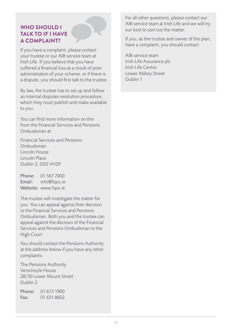#### **WHO SHOULD I TALK TO IF I HAVE A COMPLAINT?**

If you have a complaint, please contact your trustee or our AIB service team at Irish Life. If you believe that you have suffered a financial loss as a result of poor administration of your scheme, or if there is a dispute, you should first talk to the trustee.

By law, the trustee has to set up and follow an internal disputes resolution procedure, which they must publish and make available to you.

You can find more information on this from the Financial Services and Pensions Ombudsman at:

Financial Services and Pensions Ombudsman Lincoln House Lincoln Place Dublin 2, D02 VH29

Phone: 01 567 7000 Email: info@fspo.ie Website: www.fspo.ie

The trustee will investigate the matter for you. You can appeal against their decision to the Financial Services and Pensions Ombudsman. Both you and the trustee can appeal against the decision of the Financial Services and Pensions Ombudsman to the High Court.

You should contact the Pensions Authority at the address below if you have any other complaints.

The Pensions Authority Verschoyle House 28/30 Lower Mount Street Dublin 2

Phone: 01 613 1900 Fax: 01 631 8602 For all other questions, please contact our AIB service team at Irish Life and we will try our best to sort out the matter.

If you, as the trustee and owner of the plan, have a complaint, you should contact:

AIB service team Irish Life Assurance plc Irish Life Centre Lower Abbey Street Dublin 1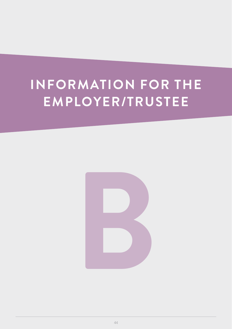## **INFORMATION FOR THE EMPLOYER/TRUSTEE**

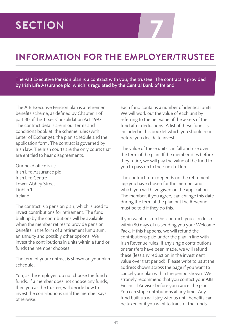# **7 SECTION**

## **INFORMATION FOR THE EMPLOYER/TRUSTEE**

The AIB Executive Pension plan is a contract with you, the trustee. The contract is provided by Irish Life Assurance plc, which is regulated by the Central Bank of Ireland

The AIB Executive Pension plan is a retirement benefits scheme, as defined by Chapter 1 of part 30 of the Taxes Consolidation Act 1997. The contract details are in our terms and conditions booklet, the scheme rules (with Letter of Exchange), the plan schedule and the application form. The contract is governed by Irish law. The Irish courts are the only courts that are entitled to hear disagreements.

Our head office is at: Irish Life Assurance plc Irish Life Centre Lower Abbey Street Dublin 1 Ireland

The contract is a pension plan, which is used to invest contributions for retirement. The fund built up by the contributions will be available when the member retires to provide pension benefits in the form of a retirement lump sum, an annuity and possibly other options. We invest the contributions in units within a fund or funds the member chooses.

The term of your contract is shown on your plan schedule.

You, as the employer, do not choose the fund or funds. If a member does not choose any funds, then you as the trustee, will decide how to invest the contributions until the member says otherwise.

Each fund contains a number of identical units. We will work out the value of each unit by referring to the net value of the assets of the fund after deductions. A list of these funds is included in this booklet which you should read before you decide to invest.

The value of these units can fall and rise over the term of the plan. If the member dies before they retire, we will pay the value of the fund to you to pass on to their next of kin.

The contract term depends on the retirement age you have chosen for the member and which you will have given on the application. The member, if you agree, can change this date during the term of the plan but the Revenue must be told if they do this.

If you want to stop this contract, you can do so within 30 days of us sending you your Welcome Pack. If this happens, we will refund the contributions paid under the plan in line with Irish Revenue rules. If any single contributions or transfers have been made, we will refund these (less any reduction in the investment value over that period). Please write to us at the address shown across the page if you want to cancel your plan within the period shown. We strongly recommend that you contact your AIB Financial Advisor before you cancel the plan. You can stop contributions at any time. Any fund built up will stay with us until benefits can be taken or if you want to transfer the funds.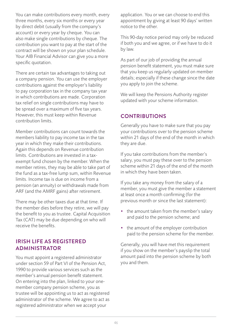You can make contributions every month, every three months, every six months or every year by direct debit (usually from the company's account) or every year by cheque. You can also make single contributions by cheque. The contribution you want to pay at the start of the contract will be shown on your plan schedule. Your AIB Financial Advisor can give you a more specific quotation.

There are certain tax advantages to taking out a company pension. You can use the employer contributions against the employer's liability to pay corporation tax in the company tax year in which contributions are made. Corporation tax relief on single contributions may have to be spread over a maximum of five tax years. However, this must keep within Revenue contribution limits.

Member contributions can count towards the members liability to pay income tax in the tax year in which they make their contributions. Again this depends on Revenue contribution limits. Contributions are invested in a taxexempt fund chosen by the member. When the member retires, they may be able to take part of the fund as a tax-free lump sum, within Revenue limits. Income tax is due on income from a pension (an annuity) or withdrawals made from ARF (and the AMRF gains) after retirement.

There may be other taxes due at that time. If the member dies before they retire, we will pay the benefit to you as trustee. Capital Acquisition Tax (CAT) may be due depending on who will receive the benefits.

#### **IRISH LIFE AS REGISTERED ADMINISTRATOR**

You must appoint a registered administrator under section 59 of Part VI of the Pension Act, 1990 to provide various services such as the member's annual pension benefit statement. On entering into the plan, linked to your onemember company pension scheme, you as trustee will be appointing us to act as registered administrator of the scheme. We agree to act as registered administrator when we accept your

application. You or we can choose to end this appointment by giving at least 90 days' written notice to the other.

This 90-day notice period may only be reduced if both you and we agree, or if we have to do it by law.

As part of our job of providing the annual pension benefit statement, you must make sure that you keep us regularly updated on member details; especially if these change since the date you apply to join the scheme.

We will keep the Pensions Authority register updated with your scheme information.

#### **CONTRIBUTIONS**

Generally you have to make sure that you pay your contributions over to the pension scheme within 21 days of the end of the month in which they are due.

If you take contributions from the member's salary, you must pay these over to the pension scheme within 21 days of the end of the month in which they have been taken.

If you take any money from the salary of a member, you must give the member a statement at least once a month confirming (for the previous month or since the last statement):

- the amount taken from the member's salary and paid to the pension scheme; and
- the amount of the employer contribution paid to the pension scheme for the member.

Generally, you will have met this requirement if you show on the member's payslip the total amount paid into the pension scheme by both you and them.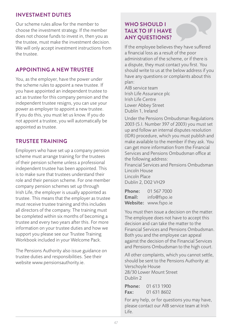#### **INVESTMENT DUTIES**

Our scheme rules allow for the member to choose the investment strategy. If the member does not choose funds to invest in, then you as the trustee, must make the investment decision. We will only accept investment instructions from the trustee.

#### **APPOINTING A NEW TRUSTEE**

You, as the employer, have the power under the scheme rules to appoint a new trustee. If you have appointed an independent trustee to act as trustee for this company pension and the independent trustee resigns, you can use your power as employer to appoint a new trustee. If you do this, you must let us know. If you do not appoint a trustee, you will automatically be appointed as trustee.

#### **TRUSTEE TRAINING**

Employers who have set up a company pension scheme must arrange training for the trustees of their pension scheme unless a professional independent trustee has been appointed. This is to make sure that trustees understand their role and their pension scheme. For one member company pension schemes set up through Irish Life, the employer is usually appointed as trustee. This means that the employer as trustee must receive trustee training and this includes all directors of the company. The training must be completed within six months of becoming a trustee and every two years after this. For more information on your trustee duties and how we support you please see our Trustee Training Workbook included in your Welcome Pack.

The Pensions Authority also issue guidance on trustee duties and responsibilities. See their website www.pensionsauthority.ie.

#### **WHO SHOULD I TALK TO IF I HAVE ANY QUESTIONS?**

If the employee believes they have suffered a financial loss as a result of the poor administration of the scheme, or if there is a dispute, they must contact you first. You should write to us at the below address if you have any questions or complaints about this plan:

AIB service team Irish Life Assurance plc Irish Life Centre Lower Abbey Street Dublin 1, Ireland

Under the Pensions Ombudsman Regulations 2003 (S.I. Number 397 of 2003) you must set up and follow an internal disputes resolution (IDR) procedure, which you must publish and make available to the member if they ask. You can get more information from the Financial Services and Pensions Ombudsman office at the following address:

Financial Services and Pensions Ombudsman Lincoln House Lincoln Place Dublin 2, D02 VH29

Phone: 01 567 7000 Email: info@fspo.ie Website: www.fspo.ie

You must then issue a decision on the matter. The employee does not have to accept this decision and can take the matter to the Financial Services and Pensions Ombudsman. Both you and the employee can appeal against the decision of the Financial Services and Pensions Ombudsman to the high court.

All other complaints, which you cannot settle, should be sent to the Pensions Authority at: Verschoyle House 28/30 Lower Mount Street Dublin 2

Phone: 01 613 1900 Fax: 01 631 8602

For any help, or for questions you may have, please contact our AIB service team at Irish Life.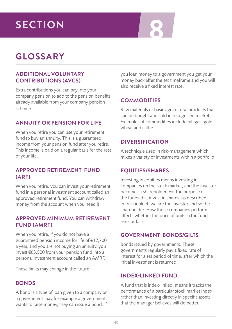# **8 SECTION**

## **GLOSSARY**

#### **ADDITIONAL VOLUNTARY CONTRIBUTIONS (AVCS)**

Extra contributions you can pay into your company pension to add to the pension benefits already available from your company pension scheme.

#### **ANNUITY OR PENSION FOR LIFE**

When you retire you can use your retirement fund to buy an annuity. This is a guaranteed income from your pension fund after you retire. This income is paid on a regular basis for the rest of your life.

#### **APPROVED RETIREMENT FUND (ARF)**

When you retire, you can invest your retirement fund in a personal investment account called an approved retirement fund. You can withdraw money from the account when you need it.

#### **APPROVED MINIMUM RETIREMENT FUND (AMRF)**

When you retire, if you do not have a guaranteed pension income for life of €12,700 a year, and you are not buying an annuity, you invest €63,500 from your pension fund into a personal investment account called an AMRF.

These limits may change in the future.

#### **BONDS**

A bond is a type of loan given to a company or a government. Say for example a government wants to raise money, they can issue a bond. If you loan money to a government you get your money back after the set timeframe and you will also receive a fixed interest rate.

#### **COMMODITIES**

Raw materials or basic agricultural products that can be bought and sold in recognised markets. Examples of commodities include oil, gas, gold, wheat and cattle.

#### **DIVERSIFICATION**

A technique used in risk-management which mixes a variety of investments within a portfolio.

#### **EQUITIES/SHARES**

Investing in equities means investing in companies on the stock market, and the investor becomes a shareholder. For the purpose of the funds that invest in shares, as described in this booklet, we are the investor and so the shareholder. How those companies perform affects whether the price of units in the fund rises or falls.

#### **GOVERNMENT BONDS/GILTS**

Bonds issued by governments. These governments regularly pay a fixed rate of interest for a set period of time, after which the initial investment is returned.

#### **INDEX-LINKED FUND**

A fund that is index-linked, means it tracks the performance of a particular stock market index, rather than investing directly in specific assets that the manager believes will do better.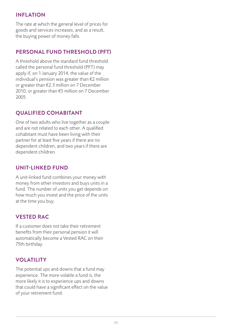#### **INFLATION**

The rate at which the general level of prices for goods and services increases, and as a result, the buying power of money falls.

#### **PERSONAL FUND THRESHOLD (PFT)**

A threshold above the standard fund threshold called the personal fund threshold (PFT) may apply if, on 1 January 2014, the value of the individual's pension was greater than €2 million or greater than €2.3 million on 7 December 2010, or greater than €5 million on 7 December 2005.

#### **QUALIFIED COHABITANT**

One of two adults who live together as a couple and are not related to each other. A qualified cohabitant must have been living with their partner for at least five years if there are no dependent children, and two years if there are dependent children.

#### **UNIT-LINKED FUND**

A unit-linked fund combines your money with money from other investors and buys units in a fund. The number of units you get depends on how much you invest and the price of the units at the time you buy.

#### **VESTED RAC**

If a customer does not take their retirement benefits from their personal pension it will automatically become a Vested RAC on their 75th birthday.

#### **VOLATILITY**

The potential ups and downs that a fund may experience. The more volatile a fund is, the more likely it is to experience ups and downs that could have a significant effect on the value of your retirement fund.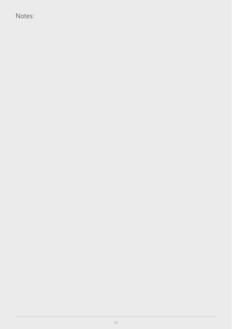Notes: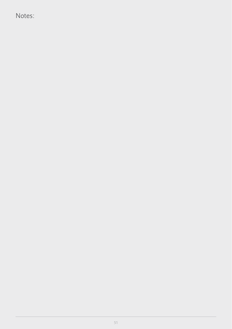Notes: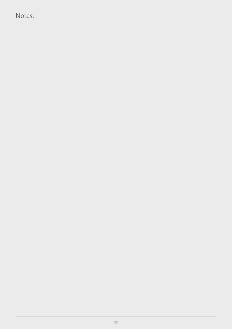Notes: